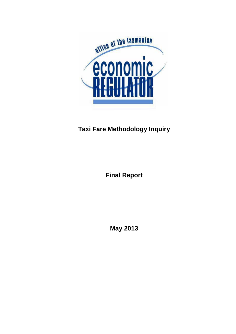

# **Taxi Fare Methodology Inquiry**

**Final Report**

**May 2013**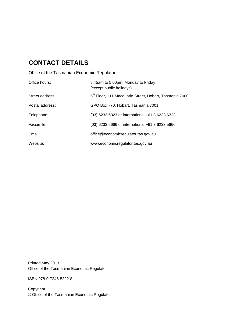# **CONTACT DETAILS**

Office of the Tasmanian Economic Regulator

| Office hours:   | 8.45am to 5.00pm, Monday to Friday<br>(except public holidays)     |
|-----------------|--------------------------------------------------------------------|
| Street address: | 5 <sup>th</sup> Floor, 111 Macquarie Street, Hobart, Tasmania 7000 |
| Postal address: | GPO Box 770, Hobart, Tasmania 7001                                 |
| Telephone:      | (03) 6233 6323 or international +61 3 6233 6323                    |
| Facsimile:      | (03) 6233 5666 or international +61 3 6233 5666                    |
| Email:          | office@economicregulator.tas.gov.au                                |
| Website:        | www.economicregulator.tas.gov.au                                   |

Printed May 2013 Office of the Tasmanian Economic Regulator

ISBN 978-0-7246-5222-8

Copyright © Office of the Tasmanian Economic Regulator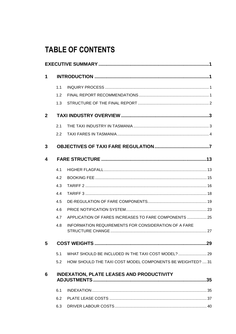# **TABLE OF CONTENTS**

| 1              |               |                                                            |  |
|----------------|---------------|------------------------------------------------------------|--|
|                | 1.1           |                                                            |  |
|                | 1.2           |                                                            |  |
|                | 1.3           |                                                            |  |
| $\overline{2}$ |               |                                                            |  |
|                | 2.1           |                                                            |  |
|                | $2.2^{\circ}$ |                                                            |  |
| 3              |               |                                                            |  |
| 4              |               |                                                            |  |
|                | 4.1           |                                                            |  |
|                | 4.2           |                                                            |  |
|                | 4.3           |                                                            |  |
|                | 4.4           |                                                            |  |
|                | 4.5           |                                                            |  |
|                | 4.6           |                                                            |  |
|                | 4.7           | APPLICATION OF FARES INCREASES TO FARE COMPONENTS  25      |  |
|                | 4.8           | INFORMATION REQUIREMENTS FOR CONSIDERATION OF A FARE       |  |
| 5              |               |                                                            |  |
|                | 5.1           | WHAT SHOULD BE INCLUDED IN THE TAXI COST MODEL?  29        |  |
|                | 5.2           | HOW SHOULD THE TAXI COST MODEL COMPONENTS BE WEIGHTED?  31 |  |
| 6              |               | <b>INDEXATION, PLATE LEASES AND PRODUCTIVITY</b>           |  |
|                | 6.1           |                                                            |  |
|                | 6.2           |                                                            |  |
|                | 6.3           |                                                            |  |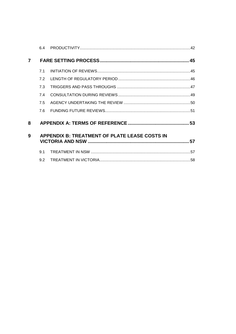|   | 6.4 |                                                      |  |
|---|-----|------------------------------------------------------|--|
| 7 |     |                                                      |  |
|   | 71  |                                                      |  |
|   | 7.2 |                                                      |  |
|   | 7.3 |                                                      |  |
|   | 7.4 |                                                      |  |
|   | 7.5 |                                                      |  |
|   | 7.6 |                                                      |  |
| 8 |     |                                                      |  |
| 9 |     | <b>APPENDIX B: TREATMENT OF PLATE LEASE COSTS IN</b> |  |
|   | 9.1 |                                                      |  |
|   | 92  |                                                      |  |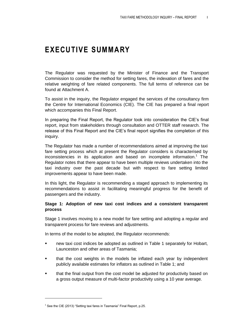# <span id="page-4-0"></span>**EXECUTIVE SUMMARY**

The Regulator was requested by the Minister of Finance and the Transport Commission to consider the method for setting fares, the indexation of fares and the relative weighting of fare related components. The full terms of reference can be found at Attachment A.

To assist in the inquiry, the Regulator engaged the services of the consultancy firm the Centre for International Economics (CIE). The CIE has prepared a final report which accompanies this Final Report.

In preparing the Final Report, the Regulator took into consideration the CIE's final report, input from stakeholders through consultation and OTTER staff research. The release of this Final Report and the CIE's final report signifies the completion of this inquiry.

The Regulator has made a number of recommendations aimed at improving the taxi fare setting process which at present the Regulator considers is characterised by inconsistencies in its application and based on incomplete information. <sup>1</sup> The Regulator notes that there appear to have been multiple reviews undertaken into the taxi industry over the past decade but with respect to fare setting limited improvements appear to have been made.

In this light, the Regulator is recommending a staged approach to implementing its recommendations to assist in facilitating meaningful progress for the benefit of passengers and the industry.

#### **Stage 1: Adoption of new taxi cost indices and a consistent transparent process**

Stage 1 involves moving to a new model for fare setting and adopting a regular and transparent process for fare reviews and adjustments.

In terms of the model to be adopted, the Regulator recommends:

- new taxi cost indices be adopted as outlined in [Table 1](#page-6-0) separately for Hobart, Launceston and other areas of Tasmania;
- that the cost weights in the models be inflated each year by independent publicly available estimates for inflators as outlined in [Table 1;](#page-6-0) and
- that the final output from the cost model be adjusted for productivity based on a gross output measure of multi-factor productivity using a 10 year average.

 $1$  See the CIE (2013) "Setting taxi fares in Tasmania" Final Report, p.25.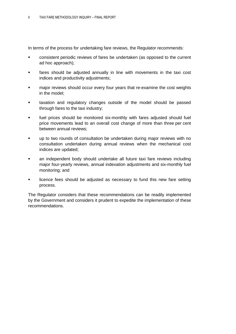In terms of the process for undertaking fare reviews, the Regulator recommends:

- consistent periodic reviews of fares be undertaken (as opposed to the current ad hoc approach);
- **Fares should be adjusted annually in line with movements in the taxi cost** indices and productivity adjustments;
- **EXED** major reviews should occur every four years that re-examine the cost weights in the model;
- taxation and regulatory changes outside of the model should be passed through fares to the taxi industry;
- fuel prices should be monitored six-monthly with fares adjusted should fuel price movements lead to an overall cost change of more than three per cent between annual reviews;
- up to two rounds of consultation be undertaken during major reviews with no consultation undertaken during annual reviews when the mechanical cost indices are updated;
- an independent body should undertake all future taxi fare reviews including major four-yearly reviews, annual indexation adjustments and six-monthly fuel monitoring; and
- **EXEDENT I** licence fees should be adjusted as necessary to fund this new fare setting process.

The Regulator considers that these recommendations can be readily implemented by the Government and considers it prudent to expedite the implementation of these recommendations.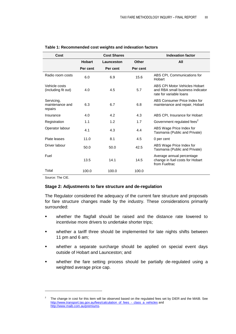| Cost                                     | <b>Cost Shares</b> |            | <b>Indexation factor</b> |                                                                                              |
|------------------------------------------|--------------------|------------|--------------------------|----------------------------------------------------------------------------------------------|
|                                          | <b>Hobart</b>      | Launceston | Other                    | All                                                                                          |
|                                          | Per cent           | Per cent   | Per cent                 |                                                                                              |
| Radio room costs                         | 6.0                | 6.9        | 15.6                     | ABS CPI, Communications for<br>Hobart                                                        |
| Vehicle costs<br>(including fit out)     | 4.0                | 4.5        | 5.7                      | ABS CPI Motor Vehicles Hobart<br>and RBA small business indicator<br>rate for variable loans |
| Servicing,<br>maintenance and<br>repairs | 6.3                | 6.7        | 6.8                      | ABS Consumer Price Index for<br>maintenance and repair, Hobart                               |
| Insurance                                | 4.0                | 4.2        | 4.3                      | ABS CPI, Insurance for Hobart                                                                |
| Registration                             | 1.1                | 1.2        | 1.7                      | Government regulated fees <sup>2</sup>                                                       |
| Operator labour                          | 4.1                | 4.3        | 4.4                      | ABS Wage Price Index for<br>Tasmania (Public and Private)                                    |
| Plate leases                             | 11.0               | 8.1        | 4.5                      | 0 per cent                                                                                   |
| Driver labour                            | 50.0               | 50.0       | 42.5                     | ABS Wage Price Index for<br>Tasmania (Public and Private)                                    |
| Fuel                                     | 13.5               | 14.1       | 14.5                     | Average annual percentage<br>change in fuel costs for Hobart<br>from Fueltrac                |
| Total                                    | 100.0              | 100.0      | 100.0                    |                                                                                              |

#### <span id="page-6-0"></span>**Table 1: Recommended cost weights and indexation factors**

Source: The CIE.

#### **Stage 2: Adjustments to fare structure and de-regulation**

The Regulator considered the adequacy of the current fare structure and proposals for fare structure changes made by the industry. These considerations primarily surrounded:

- whether the flagfall should be raised and the distance rate lowered to incentivise more drivers to undertake shorter trips;
- whether a tariff three should be implemented for late nights shifts between 11 pm and 6 am;
- whether a separate surcharge should be applied on special event days outside of Hobart and Launceston; and
- whether the fare setting process should be partially de-regulated using a weighted average price cap.

<sup>2</sup> The change in cost for this item will be observed based on the regulated fees set by DIER and the MAIB. See [http://www.transport.tas.gov.au/fees/calculation\\_of\\_fees\\_-\\_class\\_a\\_vehicles](http://www.transport.tas.gov.au/fees/calculation_of_fees_-_class_a_vehicles) and [http://www.maib.com.au/premiums.](http://www.maib.com.au/premiums)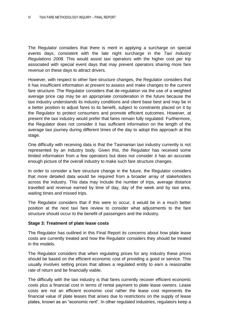The Regulator considers that there is merit in applying a surcharge on special events days, consistent with the late night surcharge in the *Taxi Industry Regulations 2008*. This would assist taxi operators with the higher cost per trip associated with special event days that may prevent operators sharing more fare revenue on these days to attract drivers.

However, with respect to other fare structure changes, the Regulator considers that it has insufficient information at present to assess and make changes to the current fare structure. The Regulator considers that de-regulation via the use of a weighted average price cap may be an appropriate consideration in the future because the taxi industry understands its industry conditions and client base best and may be in a better position to adjust fares to its benefit, subject to constraints placed on it by the Regulator to protect consumers and promote efficient outcomes. However, at present the taxi industry would prefer that fares remain fully regulated. Furthermore, the Regulator does not consider it has sufficient information on the length of the average taxi journey during different times of the day to adopt this approach at this stage.

One difficulty with receiving data is that the Tasmanian taxi industry currently is not represented by an industry body. Given this, the Regulator has received some limited information from a few operators but does not consider it has an accurate enough picture of the overall industry to make such fare structure changes.

In order to consider a fare structure change in the future, the Regulator considers that more detailed data would be required from a broader array of stakeholders across the industry. This data may include the number of trips, average distance travelled and revenue earned by time of day, day of the week and by taxi area, waiting times and missed trips.

The Regulator considers that if this were to occur, it would be in a much better position at the next taxi fare review to consider what adjustments to the fare structure should occur to the benefit of passengers and the industry.

#### **Stage 3: Treatment of plate lease costs**

The Regulator has outlined in this Final Report its concerns about how plate lease costs are currently treated and how the Regulator considers they should be treated in the models.

The Regulator considers that when regulating prices for any industry these prices should be based on the efficient economic cost of providing a good or service. This usually involves setting prices that allows a regulated entity to earn a reasonable rate of return and be financially viable.

The difficulty with the taxi industry is that fares currently recover efficient economic costs plus a financial cost in terms of rental payment to plate lease owners. Lease costs are not an efficient economic cost rather the lease cost represents the financial value of plate leases that arises due to restrictions on the supply of lease plates, known as an "economic rent". In other regulated industries, regulators keep a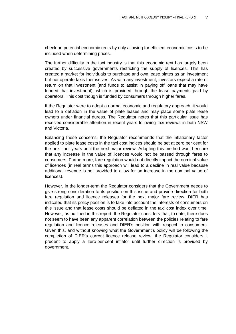check on potential economic rents by only allowing for efficient economic costs to be included when determining prices.

The further difficulty in the taxi industry is that this economic rent has largely been created by successive governments restricting the supply of licences. This has created a market for individuals to purchase and own lease plates as an investment but not operate taxis themselves. As with any investment, investors expect a rate of return on that investment (and funds to assist in paying off loans that may have funded that investment), which is provided through the lease payments paid by operators. This cost though is funded by consumers through higher fares.

If the Regulator were to adopt a normal economic and regulatory approach, it would lead to a deflation in the value of plate leases and may place some plate lease owners under financial duress. The Regulator notes that this particular issue has received considerable attention in recent years following taxi reviews in both NSW and Victoria.

Balancing these concerns, the Regulator recommends that the inflationary factor applied to plate lease costs in the taxi cost indices should be set at zero per cent for the next four years until the next major review. Adopting this method would ensure that any increase in the value of licences would not be passed through fares to consumers. Furthermore, fare regulation would not directly impact the nominal value of licences (in real terms this approach will lead to a decline in real value because additional revenue is not provided to allow for an increase in the nominal value of licences).

However, in the longer-term the Regulator considers that the Government needs to give strong consideration to its position on this issue and provide direction for both fare regulation and licence releases for the next major fare review. DIER has indicated that its policy position is to take into account the interests of consumers on this issue and that lease costs should be deflated in the taxi cost index over time. However, as outlined in this report, the Regulator considers that, to date, there does not seem to have been any apparent correlation between the policies relating to fare regulation and licence releases and DIER's position with respect to consumers. Given this, and without knowing what the Government's policy will be following the completion of DIER's current licence release review, the Regulator considers it prudent to apply a zero per cent inflator until further direction is provided by government.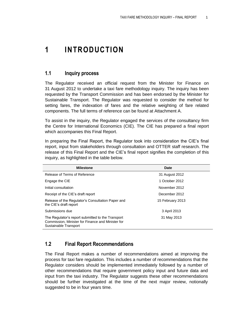# <span id="page-10-0"></span>**1 INTRODUCTION**

## <span id="page-10-1"></span>**1.1 Inquiry process**

The Regulator received an official request from the Minister for Finance on 31 August 2012 to undertake a taxi fare methodology inquiry. The inquiry has been requested by the Transport Commission and has been endorsed by the Minister for Sustainable Transport. The Regulator was requested to consider the method for setting fares, the indexation of fares and the relative weighting of fare related components. The full terms of reference can be found at Attachment A.

To assist in the inquiry, the Regulator engaged the services of the consultancy firm the Centre for International Economics (CIE). The CIE has prepared a final report which accompanies this Final Report.

In preparing the Final Report, the Regulator took into consideration the CIE's final report, input from stakeholders through consultation and OTTER staff research. The release of this Final Report and the CIE's final report signifies the completion of this inquiry, as highlighted in the table below.

| <b>Milestone</b>                                                                                                                | Date             |
|---------------------------------------------------------------------------------------------------------------------------------|------------------|
| Release of Terms of Reference                                                                                                   | 31 August 2012   |
| Engage the CIE                                                                                                                  | 1 October 2012   |
| Initial consultation                                                                                                            | November 2012    |
| Receipt of the CIE's draft report                                                                                               | December 2012    |
| Release of the Regulator's Consultation Paper and<br>the CIE's draft report                                                     | 15 February 2013 |
| Submissions due                                                                                                                 | 3 April 2013     |
| The Regulator's report submitted to the Transport<br>Commission, Minister for Finance and Minister for<br>Sustainable Transport | 31 May 2013      |

## <span id="page-10-2"></span>**1.2 Final Report Recommendations**

The Final Report makes a number of recommendations aimed at improving the process for taxi fare regulation. This includes a number of recommendations that the Regulator considers should be implemented immediately followed by a number of other recommendations that require government policy input and future data and input from the taxi industry. The Regulator suggests these other recommendations should be further investigated at the time of the next major review, notionally suggested to be in four years time.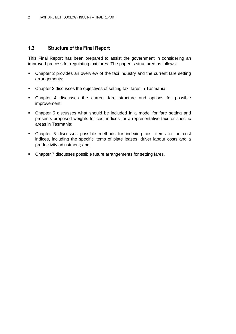## <span id="page-11-0"></span>**1.3 Structure of the Final Report**

This Final Report has been prepared to assist the government in considering an improved process for regulating taxi fares. The paper is structured as follows:

- Chapter 2 provides an overview of the taxi industry and the current fare setting arrangements;
- Chapter 3 discusses the objectives of setting taxi fares in Tasmania;
- Chapter 4 discusses the current fare structure and options for possible improvement;
- Chapter 5 discusses what should be included in a model for fare setting and presents proposed weights for cost indices for a representative taxi for specific areas in Tasmania;
- Chapter 6 discusses possible methods for indexing cost items in the cost indices, including the specific items of plate leases, driver labour costs and a productivity adjustment; and
- Chapter 7 discusses possible future arrangements for setting fares.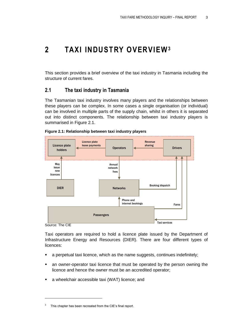# <span id="page-12-0"></span>**2 TAXI INDUSTRY OVERVIEW<sup>3</sup>**

This section provides a brief overview of the taxi industry in Tasmania including the structure of current fares.

## <span id="page-12-1"></span>**2.1 The taxi industry in Tasmania**

The Tasmanian taxi industry involves many players and the relationships between these players can be complex. In some cases a single organisation (or individual) can be involved in multiple parts of the supply chain, whilst in others it is separated out into distinct components. The relationship between taxi industry players is summarised in [Figure 2.1.](#page-12-2)



<span id="page-12-2"></span>

Source: The CIE

Taxi operators are required to hold a licence plate issued by the Department of Infrastructure Energy and Resources (DIER). There are four different types of licences:

- a perpetual taxi licence, which as the name suggests, continues indefinitely;
- an owner-operator taxi licence that must be operated by the person owning the licence and hence the owner must be an accredited operator;
- a wheelchair accessible taxi (WAT) licence; and

<sup>3</sup> This chapter has been recreated from the CIE's final report.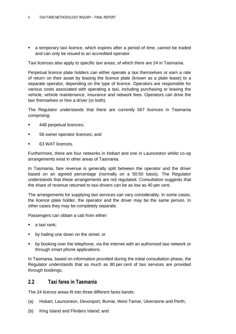a temporary taxi licence, which expires after a period of time, cannot be traded and can only be issued to an accredited operator.

Taxi licences also apply to specific taxi areas, of which there are 24 in Tasmania.

Perpetual licence plate holders can either operate a taxi themselves or earn a rate of return on their asset by leasing the licence plate (known as a plate lease) to a separate operator, depending on the type of licence. Operators are responsible for various costs associated with operating a taxi, including purchasing or leasing the vehicle, vehicle maintenance, insurance and network fees. Operators can drive the taxi themselves or hire a driver (or both).

The Regulator understands that there are currently 567 licences in Tasmania comprising:

- 448 perpetual licences;
- 56 owner operator licences; and
- 63 WAT licences.

Furthermore, there are four networks in Hobart and one in Launceston whilst co-op arrangements exist in other areas of Tasmania.

In Tasmania, fare revenue is generally split between the operator and the driver based on an agreed percentage (normally on a 50:50 basis). The Regulator understands that these arrangements are not regulated. Consultation suggests that the share of revenue returned to taxi drivers can be as low as 40 per cent.

The arrangements for supplying taxi services can vary considerably. In some cases, the licence plate holder, the operator and the driver may be the same person. In other cases they may be completely separate.

Passengers can obtain a cab from either:

- $\blacksquare$  a taxi rank;
- by hailing one down on the street; or
- by booking over the telephone, via the internet with an authorised taxi network or through smart phone applications.

In Tasmania, based on information provided during the initial consultation phase, the Regulator understands that as much as 80 per cent of taxi services are provided through bookings.

## <span id="page-13-0"></span>**2.2 Taxi fares in Tasmania**

The 24 licence areas fit into three different fares bands:

- (a) Hobart, Launceston, Devonport, Burnie, West Tamar, Ulverstone and Perth;
- (b) King Island and Flinders Island; and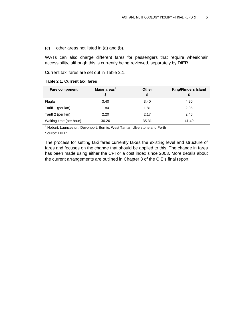(c) other areas not listed in (a) and (b).

WATs can also charge different fares for passengers that require wheelchair accessibility, although this is currently being reviewed, separately by DIER.

Current taxi fares are set out in [Table 2.1.](#page-14-0)

<span id="page-14-0"></span>

|  |  | Table 2.1: Current taxi fares |  |  |
|--|--|-------------------------------|--|--|
|--|--|-------------------------------|--|--|

| <b>Fare component</b>   | Major areas <sup>a</sup> | Other | <b>King/Flinders Island</b> |
|-------------------------|--------------------------|-------|-----------------------------|
|                         | \$                       | \$    | \$                          |
| Flagfall                | 3.40                     | 3.40  | 4.90                        |
| Tariff 1 (per km)       | 1.84                     | 1.81  | 2.05                        |
| Tariff 2 (per km)       | 2.20                     | 2.17  | 2.46                        |
| Waiting time (per hour) | 36.26                    | 35.31 | 41.49                       |

<sup>a</sup> Hobart, Launceston, Devonport, Burnie, West Tamar, Ulverstone and Perth Source: DIER

The process for setting taxi fares currently takes the existing level and structure of fares and focuses on the change that should be applied to this. The change in fares has been made using either the CPI or a cost index since 2003. More details about the current arrangements are outlined in Chapter 3 of the CIE's final report.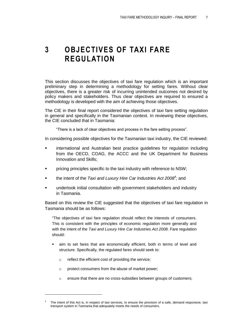# <span id="page-16-0"></span>**3 OBJECTIVES OF TAXI FARE REGULATION**

This section discusses the objectives of taxi fare regulation which is an important preliminary step in determining a methodology for setting fares. Without clear objectives, there is a greater risk of incurring unintended outcomes not desired by policy makers and stakeholders. Thus clear objectives are required to ensured a methodology is developed with the aim of achieving those objectives.

The CIE in their final report considered the objectives of taxi fare setting regulation in general and specifically in the Tasmanian context. In reviewing these objectives, the CIE concluded that in Tasmania:

―There is a lack of clear objectives and process in the fare setting process‖.

In considering possible objectives for the Tasmanian taxi industry, the CIE reviewed:

- international and Australian best practice guidelines for regulation including from the OECD, COAG, the ACCC and the UK Department for Business Innovation and Skills;
- **•** pricing principles specific to the taxi industry with reference to NSW;
- the intent of the *Taxi and Luxury Hire Car Industries Act 2008<sup>4</sup> ;* and
- undertook initial consultation with government stakeholders and industry in Tasmania.

Based on this review the CIE suggested that the objectives of taxi fare regulation in Tasmania should be as follows:

―The objectives of taxi fare regulation should reflect the interests of consumers. This is consistent with the principles of economic regulation more generally and with the intent of the *Taxi and Luxury Hire Car Industries Act 2008*. Fare regulation should:

- aim to set fares that are economically efficient, both in terms of level and structure. Specifically, the regulated fares should seek to:
	- o reflect the efficient cost of providing the service;

 $\overline{a}$ 

- o protect consumers from the abuse of market power;
- $\circ$  ensure that there are no cross-subsidies between groups of customers;

<sup>4</sup> The intent of this Act is, in respect of taxi services, to ensure the provision of a safe, demand responsive, taxi transport system in Tasmania that adequately meets the needs of consumers.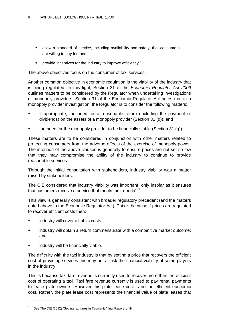- allow a standard of service, including availability and safety, that consumers are willing to pay for; and
- **•** provide incentives for the industry to improve efficiency."

The above objectives focus on the consumer of taxi services.

Another common objective in economic regulation is the viability of the industry that is being regulated. In this light, Section 31 of the *Economic Regulator Act 2009*  outlines matters to be considered by the Regulator when undertaking investigations of monopoly providers. Section 31 of the Economic Regulator Act notes that in a monopoly provider investigation, the Regulator is to consider the following matters:

- if appropriate, the need for a reasonable return (including the payment of dividends) on the assets of a monopoly provider (Section 31 (d)); and
- the need for the monopoly provider to be financially viable (Section 31 (g)).

These matters are to be considered in conjunction with other matters related to protecting consumers from the adverse effects of the exercise of monopoly power. The intention of the above clauses is generally to ensure prices are not set so low that they may compromise the ability of the industry to continue to provide reasonable services.

Through the initial consultation with stakeholders, industry viability was a matter raised by stakeholders.

The CIE considered that industry viability was important "only insofar as it ensures that customers receive a service that meets their needs".<sup>5</sup>

This view is generally consistent with broader regulatory precedent (and the matters noted above in the Economic Regulator Act). This is because if prices are regulated to recover efficient costs then:

- industry will cover all of its costs;
- **EXED** industry will obtain a return commensurate with a competitive market outcome; and
- industry will be financially viable.

The difficulty with the taxi industry is that by setting a price that recovers the efficient cost of providing services this may put at risk the financial viability of some players in the industry.

This is because taxi fare revenue is currently used to recover more than the efficient cost of operating a taxi. Taxi fare revenue currently is used to pay rental payments to lease plate owners. However this plate lease cost is not an efficient economic cost. Rather, the plate lease cost represents the financial value of plate leases that

 $5$  See The CIE (2012) "Setting taxi fares in Tasmania" final Report, p.19.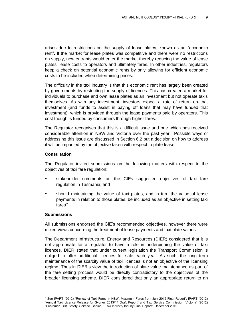arises due to restrictions on the supply of lease plates, known as an "economic rent". If the market for lease plates was competitive and there were no restrictions on supply, new entrants would enter the market thereby reducing the value of lease plates, lease costs to operators and ultimately fares. In other industries, regulators keep a check on potential economic rents by only allowing for efficient economic costs to be included when determining prices.

The difficulty in the taxi industry is that this economic rent has largely been created by governments by restricting the supply of licences. This has created a market for individuals to purchase and own lease plates as an investment but not operate taxis themselves. As with any investment, investors expect a rate of return on that investment (and funds to assist in paying off loans that may have funded that investment), which is provided through the lease payments paid by operators. This cost though is funded by consumers through higher fares.

The Regulator recognises that this is a difficult issue and one which has received considerable attention in NSW and Victoria over the past year. <sup>6</sup> Possible ways of addressing this issue are discussed in Section [6.2](#page-46-0) but a decision on how to address it will be impacted by the objective taken with respect to plate lease.

#### **Consultation**

The Regulator invited submissions on the following matters with respect to the objectives of taxi fare regulation:

- stakeholder comments on the CIEs suggested objectives of taxi fare regulation in Tasmania; and
- should maintaining the value of taxi plates, and in turn the value of lease payments in relation to those plates, be included as an objective in setting taxi fares?

#### **Submissions**

All submissions endorsed the CIE's recommended objectives, however there were mixed views concerning the treatment of lease payments and taxi plate values.

The Department Infrastructure, Energy and Resources (DIER) considered that it is not appropriate for a regulator to have a role in underpinning the value of taxi licences. DIER stated that under current legislation the Transport Commission is obliged to offer additional licences for sale each year. As such, the long term maintenance of the scarcity value of taxi licences is not an objective of the licensing regime. Thus in DIER's view the introduction of plate value maintenance as part of the fare setting process would be directly contradictory to the objectives of the broader licensing scheme. DIER considered that only an appropriate return to an

 $6$  See IPART (2012) "Review of Taxi Fares in NSW, Maximum Fares from July 2012 Final Report", IPART (2012) ―Annual Taxi Licence Release for Sydney 2013/14 Draft Report‖ and Taxi Service Commission (Victoria) (2012) ―Customer First: Safety, Service, Choice – Taxi Industry Inquiry Final Report‖, December 2012.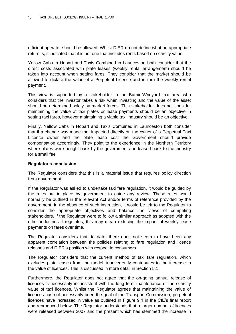efficient operator should be allowed. Whilst DIER do not define what an appropriate return is, it indicated that it is not one that includes rents based on scarcity value.

Yellow Cabs in Hobart and Taxis Combined in Launceston both consider that the direct costs associated with plate leases (weekly rental arrangement) should be taken into account when setting fares. They consider that the market should be allowed to dictate the value of a Perpetual Licence and in turn the weekly rental payment.

This view is supported by a stakeholder in the Burnie/Wynyard taxi area who considers that the investor takes a risk when investing and the value of the asset should be determined solely by market forces. This stakeholder does not consider maintaining the value of taxi plates or lease payments should be an objective in setting taxi fares, however maintaining a viable taxi industry should be an objective.

Finally, Yellow Cabs in Hobart and Taxis Combined in Launceston both consider that if a change was made that impacted directly on the owner of a Perpetual Taxi Licence owner and the plate lease cost the Government should provide compensation accordingly. They point to the experience in the Northern Territory where plates were bought back by the government and leased back to the industry for a small fee.

#### **Regulator's conclusion**

The Regulator considers that this is a material issue that requires policy direction from government.

If the Regulator was asked to undertake taxi fare regulation, it would be guided by the rules put in place by government to guide any review. These rules would normally be outlined in the relevant Act and/or terms of reference provided by the government. In the absence of such instruction, it would be left to the Regulator to consider the appropriate objectives and balance the views of competing stakeholders. If the Regulator were to follow a similar approach as adopted with the other industries it regulates, this may mean reducing the impact of weekly lease payments on fares over time.

The Regulator considers that, to date, there does not seem to have been any apparent correlation between the policies relating to fare regulation and licence releases and DIER's position with respect to consumers.

The Regulator considers that the current method of taxi fare regulation, which excludes plate leases from the model, inadvertently contributes to the increase in the value of licences. This is discussed in more detail in Section [5.1.](#page-38-1)

Furthermore, the Regulator does not agree that the on-going annual release of licences is necessarily inconsistent with the long term maintenance of the scarcity value of taxi licences. Whilst the Regulator agrees that maintaining the value of licences has not necessarily been the goal of the Transport Commission, perpetual licences have increased in value as outlined in Figure 9.4 in the CIE's final report and reproduced below. The Regulator understands that a larger number of licences were released between 2007 and the present which has stemmed the increase in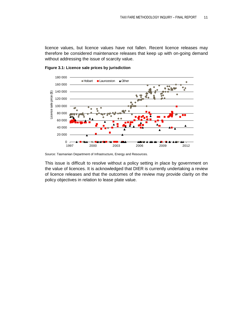licence values, but licence values have not fallen. Recent licence releases may therefore be considered maintenance releases that keep up with on-going demand without addressing the issue of scarcity value.



<span id="page-20-0"></span>**Figure 3.1: Licence sale prices by jurisdiction**

This issue is difficult to resolve without a policy setting in place by government on the value of licences. It is acknowledged that DIER is currently undertaking a review of licence releases and that the outcomes of the review may provide clarity on the policy objectives in relation to lease plate value.

Source: Tasmanian Department of Infrastructure, Energy and Resources.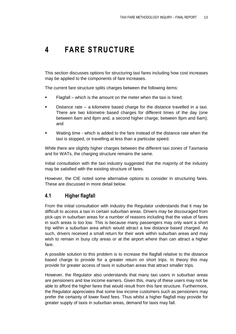# <span id="page-22-0"></span>**4 FARE STRUCTURE**

This section discusses options for structuring taxi fares including how cost increases may be applied to the components of fare increases.

The current fare structure splits charges between the following items:

- Flagfall which is the amount on the meter when the taxi is hired;
- Distance rate a kilometre based charge for the distance travelled in a taxi. There are two kilometre based charges for different times of the day (one between 6am and 8pm and, a second higher charge, between 8pm and 6am); and
- Waiting time which is added to the fare instead of the distance rate when the taxi is stopped, or travelling at less than a particular speed.

While there are slightly higher charges between the different taxi zones of Tasmania and for WATs, the charging structure remains the same.

Initial consultation with the taxi industry suggested that the majority of the industry may be satisfied with the existing structure of fares.

However, the CIE noted some alternative options to consider in structuring fares. These are discussed in more detail below.

## <span id="page-22-1"></span>**4.1 Higher flagfall**

From the initial consultation with industry the Regulator understands that it may be difficult to access a taxi in certain suburban areas. Drivers may be discouraged from pick-ups in suburban areas for a number of reasons including that the value of fares in such areas is too low. This is because many passengers may only want a short trip within a suburban area which would attract a low distance based charged. As such, drivers received a small return for their work within suburban areas and may wish to remain in busy city areas or at the airport where than can attract a higher fare.

A possible solution to this problem is to increase the flagfall relative to the distance based charge to provide for a greater return on short trips. In theory this may provide for greater access of taxis in suburban areas that attract smaller trips.

However, the Regulator also understands that many taxi users in suburban areas are pensioners and low income earners. Given this, many of these users may not be able to afford the higher fares that would result from this fare structure. Furthermore, the Regulator appreciates that some low income customers such as pensioners may prefer the certainty of lower fixed fees. Thus whilst a higher flagfall may provide for greater supply of taxis in suburban areas, demand for taxis may fall.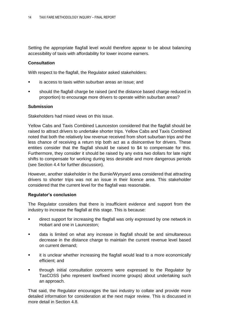Setting the appropriate flagfall level would therefore appear to be about balancing accessibility of taxis with affordability for lower income earners.

#### **Consultation**

With respect to the flagfall, the Regulator asked stakeholders:

- is access to taxis within suburban areas an issue; and
- should the flagfall charge be raised (and the distance based charge reduced in proportion) to encourage more drivers to operate within suburban areas?

#### **Submission**

Stakeholders had mixed views on this issue.

Yellow Cabs and Taxis Combined Launceston considered that the flagfall should be raised to attract drivers to undertake shorter trips. Yellow Cabs and Taxis Combined noted that both the relatively low revenue received from short suburban trips and the less chance of receiving a return trip both act as a disincentive for drivers. These entities consider that the flagfall should be raised to \$4 to compensate for this. Furthermore, they consider it should be raised by any extra two dollars for late night shifts to compensate for working during less desirable and more dangerous periods (see Section [4.4](#page-27-0) for further discussion).

However, another stakeholder in the Burnie/Wynyard area considered that attracting drivers to shorter trips was not an issue in their licence area. This stakeholder considered that the current level for the flagfall was reasonable.

#### **Regulator's conclusion**

The Regulator considers that there is insufficient evidence and support from the industry to increase the flagfall at this stage. This is because:

- direct support for increasing the flagfall was only expressed by one network in Hobart and one in Launceston;
- data is limited on what any increase in flagfall should be and simultaneous decrease in the distance charge to maintain the current revenue level based on current demand;
- it is unclear whether increasing the flagfall would lead to a more economically efficient; and
- through initial consultation concerns were expressed to the Regulator by TasCOSS (who represent low/fixed income groups) about undertaking such an approach.

That said, the Regulator encourages the taxi industry to collate and provide more detailed information for consideration at the next major review. This is discussed in more detail in Section [4.8.](#page-36-0)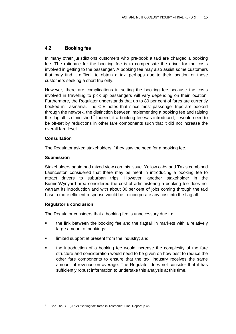## <span id="page-24-0"></span>**4.2 Booking fee**

In many other jurisdictions customers who pre-book a taxi are charged a booking fee. The rationale for the booking fee is to compensate the driver for the costs involved in getting to the passenger. A booking fee may also assist some customers that may find it difficult to obtain a taxi perhaps due to their location or those customers seeking a short trip only.

However, there are complications in setting the booking fee because the costs involved in travelling to pick up passengers will vary depending on their location. Furthermore, the Regulator understands that up to 80 per cent of fares are currently booked in Tasmania. The CIE notes that since most passenger trips are booked through the network, the distinction between implementing a booking fee and raising the flagfall is diminished.<sup>7</sup> Indeed, if a booking fee was introduced, it would need to be off-set by reductions in other fare components such that it did not increase the overall fare level.

#### **Consultation**

The Regulator asked stakeholders if they saw the need for a booking fee.

#### **Submission**

Stakeholders again had mixed views on this issue. Yellow cabs and Taxis combined Launceston considered that there may be merit in introducing a booking fee to attract drivers to suburban trips. However, another stakeholder in the Burnie/Wynyard area considered the cost of administering a booking fee does not warrant its introduction and with about 80 per cent of jobs coming through the taxi base a more efficient response would be to incorporate any cost into the flagfall.

#### **Regulator's conclusion**

The Regulator considers that a booking fee is unnecessary due to:

- the link between the booking fee and the flagfall in markets with a relatively large amount of bookings;
- limited support at present from the industry; and
- the introduction of a booking fee would increase the complexity of the fare structure and consideration would need to be given on how best to reduce the other fare components to ensure that the taxi industry receives the same amount of revenue on average. The Regulator does not consider that it has sufficiently robust information to undertake this analysis at this time.

 $7$  See The CIE (2012) "Setting taxi fares in Tasmania" Final Report, p.45.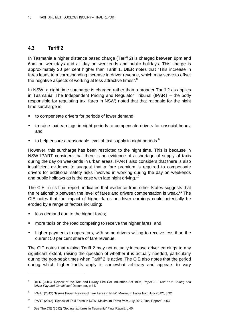## <span id="page-25-0"></span>**4.3 Tariff 2**

In Tasmania a higher distance based charge (Tariff 2) is charged between 8pm and 6am on weekdays and all day on weekends and public holidays. This charge is approximately 20 per cent higher than Tariff 1. DIER notes that "This increase in fares leads to a corresponding increase in driver revenue, which may serve to offset the negative aspects of working at less attractive times". $8$ 

In NSW, a night time surcharge is charged rather than a broader Tariff 2 as applies in Tasmania. The Independent Pricing and Regulator Tribunal (IPART – the body responsible for regulating taxi fares in NSW) noted that that rationale for the night time surcharge is:

- to compensate drivers for periods of lower demand;
- to raise taxi earnings in night periods to compensate drivers for unsocial hours; and
- to help ensure a reasonable level of taxi supply in night periods.<sup>9</sup>

However, this surcharge has been restricted to the night time. This is because in NSW IPART considers that there is no evidence of a shortage of supply of taxis during the day on weekends in urban areas. IPART also considers that there is also insufficient evidence to suggest that a fare premium is required to compensate drivers for additional safety risks involved in working during the day on weekends and public holidays as is the case with late night driving.<sup>10</sup>

The CIE, in its final report, indicates that evidence from other States suggests that the relationship between the level of fares and drivers compensation is weak.<sup>11</sup> The CIE notes that the impact of higher fares on driver earnings could potentially be eroded by a range of factors including:

less demand due to the higher fares;

 $\overline{a}$ 

- more taxis on the road competing to receive the higher fares; and
- higher payments to operators, with some drivers willing to receive less than the current 50 per cent share of fare revenue.

The CIE notes that raising Tariff 2 may not actually increase driver earnings to any significant extent, raising the question of whether it is actually needed, particularly during the non-peak times when Tariff 2 is active. The CIE also notes that the period during which higher tariffs apply is somewhat arbitrary and appears to vary

<sup>8</sup> DIER (2005) ―Review of the Taxi and Luxury Hire Car Industries Act 1995, *Paper 2 – Taxi Fare Setting and Driver Pay and Conditions*‖ December, p.41.

<sup>9</sup> IPART (2012) "Issues Paper: Review of Taxi Fares in NSW, Maximum Fares from July 2012", p.32.

<sup>10</sup> IPART (2012) "Review of Taxi Fares in NSW, Maximum Fares from July 2012 Final Report", p.53.

<sup>11</sup> See The CIE (2012) "Setting taxi fares in Tasmania" Final Report, p.46.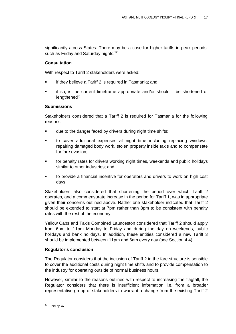significantly across States. There may be a case for higher tariffs in peak periods, such as Friday and Saturday nights.<sup>12</sup>

#### **Consultation**

With respect to Tariff 2 stakeholders were asked:

- if they believe a Tariff 2 is required in Tasmania; and
- if so, is the current timeframe appropriate and/or should it be shortened or lengthened?

#### **Submissions**

Stakeholders considered that a Tariff 2 is required for Tasmania for the following reasons:

- due to the danger faced by drivers during night time shifts;
- to cover additional expenses at night time including replacing windows, repairing damaged body work, stolen property inside taxis and to compensate for fare evasion;
- **Fall for penalty rates for drivers working night times, weekends and public holidays** similar to other industries; and
- to provide a financial incentive for operators and drivers to work on high cost days.

Stakeholders also considered that shortening the period over which Tariff 2 operates, and a commensurate increase in the period for Tariff 1, was in appropriate given their concerns outlined above. Rather one stakeholder indicated that Tariff 2 should be extended to start at 7pm rather than 8pm to be consistent with penalty rates with the rest of the economy.

Yellow Cabs and Taxis Combined Launceston considered that Tariff 2 should apply from 6pm to 11pm Monday to Friday and during the day on weekends, public holidays and bank holidays. In addition, these entities considered a new Tariff 3 should be implemented between 11pm and 6am every day (see Section [4.4\)](#page-27-0).

#### **Regulator's conclusion**

The Regulator considers that the inclusion of Tariff 2 in the fare structure is sensible to cover the additional costs during night time shifts and to provide compensation to the industry for operating outside of normal business hours.

However, similar to the reasons outlined with respect to increasing the flagfall, the Regulator considers that there is insufficient information i.e. from a broader representative group of stakeholders to warrant a change from the existing Tariff 2

 $12$  Ibid pp.47.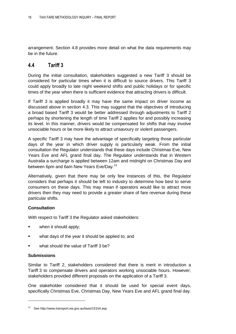arrangement. Section [4.8](#page-36-0) provides more detail on what the data requirements may be in the future.

## <span id="page-27-0"></span>**4.4 Tariff 3**

During the initial consultation, stakeholders suggested a new Tariff 3 should be considered for particular times when it is difficult to source drivers. This Tariff 3 could apply broadly to late night weekend shifts and public holidays or for specific times of the year when there is sufficient evidence that attracting drivers is difficult.

If Tariff 3 is applied broadly it may have the same impact on driver income as discussed above in section 4.3. This may suggest that the objectives of introducing a broad based Tariff 3 would be better addressed through adjustments to Tariff 2 perhaps by shortening the length of time Tariff 2 applies for and possibly increasing its level. In this manner, drivers would be compensated for shifts that may involve unsociable hours or be more likely to attract unsavoury or violent passengers.

A specific Tariff 3 may have the advantage of specifically targeting those particular days of the year in which driver supply is particularly weak. From the initial consultation the Regulator understands that these days include Christmas Eve, New Years Eve and AFL grand final day. The Regulator understands that in Western Australia a surcharge is applied between 12am and midnight on Christmas Day and between 6pm and 6am New Years Eve/Day.<sup>13</sup>

Alternatively, given that there may be only few instances of this, the Regulator considers that perhaps it should be left to industry to determine how best to serve consumers on these days. This may mean if operators would like to attract more drivers then they may need to provide a greater share of fare revenue during these particular shifts.

## **Consultation**

With respect to Tariff 3 the Regulator asked stakeholders:

- when it should apply;
- **•** what days of the year it should be applied to; and
- what should the value of Tariff 3 be?

#### **Submissions**

Similar to Tariff 2, stakeholders considered that there is merit in introduction a Tariff 3 to compensate drivers and operators working unsociable hours. However, stakeholders provided different proposals on the application of a Tariff 3.

One stakeholder considered that it should be used for special event days, specifically Christmas Eve, Christmas Day, New Years Eve and AFL grand final day.

<sup>13</sup> See http://www.transport.wa.gov.au/taxis/15154.asp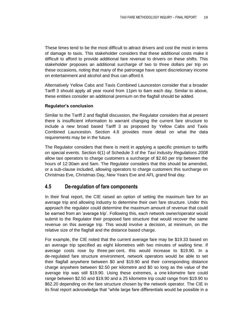These times tend to be the most difficult to attract drivers and cost the most in terms of damage to taxis. This stakeholder considers that these additional costs make it difficult to afford to provide additional fare revenue to drivers on these shifts. This stakeholder proposes an additional surcharge of two to three dollars per trip on these occasions, noting that many of the patronage have spent discretionary income on entertainment and alcohol and thus can afford it.

Alternatively Yellow Cabs and Taxis Combined Launceston consider that a broader Tariff 3 should apply all year round from 11pm to 6am each day. Similar to above, these entities consider an additional premium on the flagfall should be added.

#### **Regulator's conclusion**

Similar to the Tariff 2 and flagfall discussion, the Regulator considers that at present there is insufficient information to warrant changing the current fare structure to include a new broad based Tariff 3 as proposed by Yellow Cabs and Taxis Combined Launceston. Section [4.8](#page-36-0) provides more detail on what the data requirements may be in the future.

The Regulator considers that there is merit in applying a specific premium to tariffs on special events. Section 6(1) of Schedule 3 of the *Taxi Industry Regulations 2008*  allow taxi operators to charge customers a surcharge of \$2.60 per trip between the hours of 12:30am and 5am. The Regulator considers that this should be amended, or a sub-clause included, allowing operators to charge customers this surcharge on Christmas Eve, Christmas Day, New Years Eve and AFL grand final day.

## <span id="page-28-0"></span>**4.5 De-regulation of fare components**

In their final report, the CIE raised an option of setting the maximum fare for an average trip and allowing industry to determine their own fare structure. Under this approach the regulator could determine the maximum amount of revenue that could be earned from an 'average trip'. Following this, each network owner/operator would submit to the Regulator their proposed fare structure that would recover the same revenue on this average trip. This would involve a decision, at minimum, on the relative size of the flagfall and the distance based charge.

For example, the CIE noted that the current average fare may be \$19.33 based on an average trip specified as eight kilometres with two minutes of waiting time. If average costs rose by three per cent, this would increase to \$19.90. In a de-regulated fare structure environment, network operators would be able to set their flagfall anywhere between \$0 and \$19.90 and their corresponding distance charge anywhere between \$2.50 per kilometre and \$0 so long as the value of the average trip was still \$19.90. Using these extremes, a one kilometre fare could range between \$2.50 and \$19.90 and a 25 kilometre trip could range from \$19.90 to \$62.20 depending on the fare structure chosen by the network operator. The CIE in its final report acknowledge that "while large fare differentials would be possible in a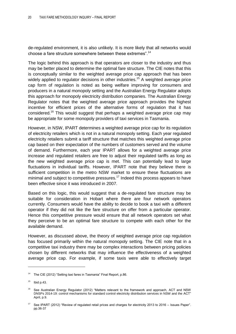de-regulated environment, it is also unlikely. It is more likely that all networks would choose a fare structure somewhere between these extremes".<sup>14</sup>

The logic behind this approach is that operators are closer to the industry and thus may be better placed to determine the optimal fare structure. The CIE notes that this is conceptually similar to the weighted average price cap approach that has been widely applied to regulator decisions in other industries.<sup>15</sup> A weighted average price cap form of regulation is noted as being welfare improving for consumers and producers in a natural monopoly setting and the Australian Energy Regulator adopts this approach for monopoly electricity distribution companies. The Australian Energy Regulator notes that the weighted average price approach provides the highest incentive for efficient prices of the alternative forms of regulation that it has considered.<sup>16</sup> This would suggest that perhaps a weighted average price cap may be appropriate for some monopoly providers of taxi services in Tasmania.

However, in NSW, IPART determines a weighted average price cap for its regulation of electricity retailers which is not in a natural monopoly setting. Each year regulated electricity retailers submit a tariff structure that matches this weighted average price cap based on their expectation of the numbers of customers served and the volume of demand. Furthermore, each year IPART allows for a weighted average price increase and regulated retailers are free to adjust their regulated tariffs as long as the new weighted average price cap is met. This can potentially lead to large fluctuations in individual tariffs. However, IPART note that they believe there is sufficient competition in the metro NSW market to ensure these fluctuations are minimal and subject to competitive pressures.<sup>17</sup> Indeed this process appears to have been effective since it was introduced in 2007.

Based on this logic, this would suggest that a de-regulated fare structure may be suitable for consideration in Hobart where there are four network operators currently. Consumers would have the ability to decide to book a taxi with a different operator if they did not like the fare structure on offer from a particular operator. Hence this competitive pressure would ensure that all network operators set what they perceive to be an optimal fare structure to compete with each other for the available demand.

However, as discussed above, the theory of weighted average price cap regulation has focused primarily within the natural monopoly setting. The CIE note that in a competitive taxi industry there may be complex interactions between pricing policies chosen by different networks that may influence the effectiveness of a weighted average price cap. For example, if some taxis were able to effectively target

 $\overline{a}$ 

The CIE (2012) "Setting taxi fares in Tasmania" Final Report, p.86.

 $15$  Ibid p.43.

<sup>&</sup>lt;sup>16</sup> See Australian Energy Regulator (2012) "Matters relevant to the framework and approach, ACT and NSW DNSPs 2014-19: control mechanisms for standard control electricity distribution services in NSW and the ACT" April, p.9.

 $17$  See IPART (2012) "Review of regulated retail prices and charges for electricity 2013 to 2016 – Issues Paper". pp.36-37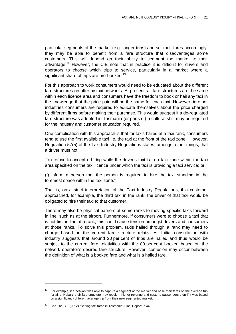particular segments of the market (e.g. longer trips) and set their fares accordingly, they may be able to benefit from a fare structure that disadvantages some customers. This will depend on their ability to segment the market to their advantage.<sup>18</sup> However, the CIE note that in practice it is difficult for drivers and operators to choose which trips to service, particularly in a market where a significant share of trips are pre-booked.<sup>19</sup>

For this approach to work consumers would need to be educated about the different fare structures on offer by taxi networks. At present, all fare structures are the same within each licence area and consumers have the freedom to book or hail any taxi in the knowledge that the price paid will be the same for each taxi. However, in other industries consumers are required to educate themselves about the price charged by different firms before making their purchase. This would suggest if a de-regulated fare structure was adopted in Tasmania (or parts of) a cultural shift may be required for the industry and customer education required.

One complication with this approach is that for taxis hailed at a taxi rank, consumers tend to use the first available taxi i.e. the taxi at the front of the taxi zone. However, Regulation 57(5) of the Taxi Industry Regulations states, amongst other things, that a driver must not:

―(a) refuse to accept a hiring while the driver's taxi is in a taxi zone within the taxi area specified on the taxi licence under which the taxi is providing a taxi service; or

(f) inform a person that the person is required to hire the taxi standing in the foremost space within the taxi zone."

That is, on a strict interpretation of the Taxi Industry Regulations, if a customer approached, for example, the third taxi in the rank, the driver of that taxi would be obligated to hire their taxi to that customer.

There may also be physical barriers at some ranks to moving specific taxis forward in line, such as at the airport. Furthermore, if consumers were to choose a taxi that is not first in line at a rank, this could cause tension amongst drivers and consumers at those ranks. To solve this problem, taxis hailed through a rank may need to charge based on the current fare structure relativities. Initial consultation with industry suggests that around 20 per cent of trips are hailed and thus would be subject to the current fare relativities with the 80 per cent booked based on the network operator's desired fare structure. However, confusion may occur between the definition of what is a booked fare and what is a hailed fare.

For example, if a network was able to capture a segment of the market and base their fares on the average trip for all of Hobart, their fare structure may result in higher revenue and costs to passengers then if it was based on a significantly different average trip from their new segmented market.

 $19$  See The CIE (2012) "Setting taxi fares in Tasmania" Final Report, p.44.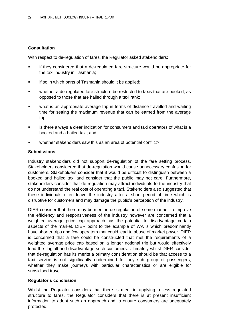#### **Consultation**

With respect to de-regulation of fares, the Regulator asked stakeholders:

- if they considered that a de-regulated fare structure would be appropriate for the taxi industry in Tasmania;
- **Fig. 3** if so in which parts of Tasmania should it be applied;
- whether a de-regulated fare structure be restricted to taxis that are booked, as opposed to those that are hailed through a taxi rank;
- what is an appropriate average trip in terms of distance travelled and waiting time for setting the maximum revenue that can be earned from the average trip;
- is there always a clear indication for consumers and taxi operators of what is a booked and a hailed taxi; and
- whether stakeholders saw this as an area of potential conflict?

#### **Submissions**

Industry stakeholders did not support de-regulation of the fare setting process. Stakeholders considered that de-regulation would cause unnecessary confusion for customers. Stakeholders consider that it would be difficult to distinguish between a booked and hailed taxi and consider that the public may not care. Furthermore, stakeholders consider that de-regulation may attract individuals to the industry that do not understand the real cost of operating a taxi. Stakeholders also suggested that these individuals often leave the industry after a short period of time which is disruptive for customers and may damage the public's perception of the industry.

DIER consider that there may be merit in de-regulation of some manner to improve the efficiency and responsiveness of the industry however are concerned that a weighted average price cap approach has the potential to disadvantage certain aspects of the market. DIER point to the example of WATs which predominantly have shorter trips and few operators that could lead to abuse of market power. DIER is concerned that a fare could be constructed that met the requirements of a weighted average price cap based on a longer notional trip but would effectively load the flagfall and disadvantage such customers. Ultimately whilst DIER consider that de-regulation has its merits a primary consideration should be that access to a taxi service is not significantly undermined for any sub group of passengers, whether they make journeys with particular characteristics or are eligible for subsidised travel.

#### **Regulator's conclusion**

Whilst the Regulator considers that there is merit in applying a less regulated structure to fares, the Regulator considers that there is at present insufficient information to adopt such an approach and to ensure consumers are adequately protected.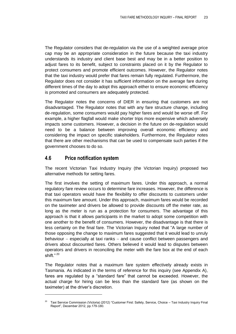The Regulator considers that de-regulation via the use of a weighted average price cap may be an appropriate consideration in the future because the taxi industry understands its industry and client base best and may be in a better position to adjust fares to its benefit, subject to constraints placed on it by the Regulator to protect consumers and promote efficient outcomes. However, the Regulator notes that the taxi industry would prefer that fares remain fully regulated. Furthermore, the Regulator does not consider it has sufficient information on the average fare during different times of the day to adopt this approach either to ensure economic efficiency is promoted and consumers are adequately protected.

The Regulator notes the concerns of DIER in ensuring that customers are not disadvantaged. The Regulator notes that with any fare structure change, including de-regulation, some consumers would pay higher fares and would be worse off. For example, a higher flagfall would make shorter trips more expensive which adversely impacts some customers. However, a decision in the future on de-regulation would need to be a balance between improving overall economic efficiency and considering the impact on specific stakeholders. Furthermore, the Regulator notes that there are other mechanisms that can be used to compensate such parties if the government chooses to do so.

## <span id="page-32-0"></span>**4.6 Price notification system**

 $\overline{a}$ 

The recent Victorian Taxi Industry Inquiry (the Victorian Inquiry) proposed two alternative methods for setting fares.

The first involves the setting of maximum fares. Under this approach, a normal regulatory fare review occurs to determine fare increases. However, the difference is that taxi operators would have the flexibility to offer discounts to customers under this maximum fare amount. Under this approach, maximum fares would be recorded on the taximeter and drivers be allowed to provide discounts off the meter rate, as long as the meter is run as a protection for consumers. The advantage of this approach is that it allows participants in the market to adopt some competition with one another to the benefit of consumers. However, the disadvantage is that there is less certainty on the final fare. The Victorian Inquiry noted that "A large number of those opposing the change to maximum fares suggested that it would lead to unruly behaviour  $-$  especially at taxi ranks  $-$  and cause conflict between passengers and drivers about discounted fares. Others believed it would lead to disputes between operators and drivers in reconciling the meter with the fare box at the end of each shift  $"^{20}$ 

The Regulator notes that a maximum fare system effectively already exists in Tasmania. As indicated in the terms of reference for this inquiry (see Appendix A), fares are regulated by a "standard fare" that cannot be exceeded. However, the actual charge for hiring can be less than the standard fare (as shown on the taximeter) at the driver's discretion.

Taxi Service Commission (Victoria) (2012) "Customer First: Safety, Service, Choice – Taxi Industry Inquiry Final Report", December 2012, pp.179-180.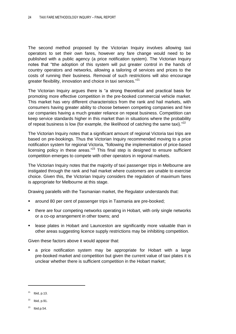The second method proposed by the Victorian Inquiry involves allowing taxi operators to set their own fares, however any fare change would need to be published with a public agency (a price notification system). The Victorian Inquiry notes that "tthe adoption of this system will put greater control in the hands of country operators and networks, allowing a tailoring of services and prices to the costs of running their business. Removal of such restrictions will also encourage greater flexibility, innovation and choice in taxi services."<sup>21</sup>

The Victorian Inquiry argues there is "a strong theoretical and practical basis for promoting more effective competition in the pre-booked commercial vehicle market. This market has very different characteristics from the rank and hail markets, with consumers having greater ability to choose between competing companies and hire car companies having a much greater reliance on repeat business. Competition can keep service standards higher in this market than in situations where the probability of repeat business is low (for example, the likelihood of catching the same taxi)." $^{22}$ 

The Victorian Inquiry notes that a significant amount of regional Victoria taxi trips are based on pre-bookings. Thus the Victorian Inquiry recommended moving to a price notification system for regional Victoria, "following the implementation of price-based licensing policy in these areas." $23$  This final step is designed to ensure sufficient competition emerges to compete with other operators in regional markets.

The Victorian Inquiry notes that the majority of taxi passenger trips in Melbourne are instigated through the rank and hail market where customers are unable to exercise choice. Given this, the Victorian Inquiry considers the regulation of maximum fares is appropriate for Melbourne at this stage.

Drawing paralells with the Tasmanian market, the Regulator understands that:

- around 80 per cent of passenger trips in Tasmania are pre-booked;
- there are four competing networks operating in Hobart, with only single networks or a co-op arrangement in other towns; and
- lease plates in Hobart and Launceston are significantly more valuable than in other areas suggesting licence supply restrictions may be inhibiting competition.

Given these factors above it would appear that:

 a price notification system may be appropriate for Hobart with a large pre-booked market and competition but given the current value of taxi plates it is unclear whether there is sufficient competition in the Hobart market;

 $\overline{a}$ 

 $21$  Ibid, p.13.

Ibid, p.91.

 $23$  Ibid.p.54.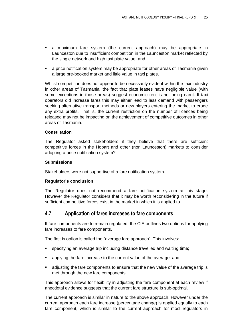- a maximum fare system (the current approach) may be appropriate in Launceston due to insufficient competition in the Launceston market reflected by the single network and high taxi plate value; and
- a price notification system may be appropriate for other areas of Tasmania given a large pre-booked market and little value in taxi plates.

Whilst competition does not appear to be necessarily evident within the taxi industry in other areas of Tasmania, the fact that plate leases have negligible value (with some exceptions in those areas) suggest economic rent is not being earnt. If taxi operators did increase fares this may either lead to less demand with passengers seeking alternative transport methods or new players entering the market to erode any extra profits. That is, the current restriction on the number of licences being released may not be impacting on the achievement of competitive outcomes in other areas of Tasmania.

#### **Consultation**

The Regulator asked stakeholders if they believe that there are sufficient competitive forces in the Hobart and other (non Launceston) markets to consider adopting a price notification system?

#### **Submissions**

Stakeholders were not supportive of a fare notification system.

#### **Regulator's conclusion**

The Regulator does not recommend a fare notification system at this stage. However the Regulator considers that it may be worth reconsidering in the future if sufficient competitive forces exist in the market in which it is applied to.

## <span id="page-34-0"></span>**4.7 Application of fares increases to fare components**

If fare components are to remain regulated, the CIE outlines two options for applying fare increases to fare components.

The first is option is called the "average fare approach". This involves:

- specifying an average trip including distance travelled and waiting time;
- applying the fare increase to the current value of the average; and
- adjusting the fare components to ensure that the new value of the average trip is met through the new fare components.

This approach allows for flexibility in adjusting the fare component at each review if anecdotal evidence suggests that the current fare structure is sub-optimal.

The current approach is similar in nature to the above approach. However under the current approach each fare increase (percentage change) is applied equally to each fare component, which is similar to the current approach for most regulators in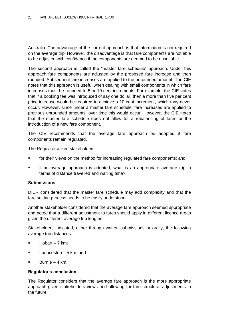Australia. The advantage of the current approach is that information is not required on the average trip. However, the disadvantage is that fare components are not able to be adjusted with confidence if the components are deemed to be unsuitable.

The second approach is called the "master fare schedule" approach. Under this approach fare components are adjusted by the proposed fare increase and then rounded. Subsequent fare increases are applied to the unrounded amount. The CIE notes that this approach is useful when dealing with small components in which fare increases must be rounded to 5 or 10 cent increments. For example, the CIE notes that if a booking fee was introduced of say one dollar, then a more than five per cent price increase would be required to achieve a 10 cent increment, which may never occur. However, since under a master fare schedule, fare increases are applied to previous unrounded amounts, over time this would occur. However, the CIE notes that the master fare schedule does not allow for a rebalancing of fares or the introduction of a new fare component.

The CIE recommends that the average fare approach be adopted if fare components remain regulated.

The Regulator asked stakeholders:

- for their views on the method for increasing regulated fare components; and
- if an average approach is adopted, what is an appropriate average trip in terms of distance travelled and waiting time?

#### **Submissions**

DIER considered that the master fare schedule may add complexity and that the fare setting process needs to be easily understood.

Another stakeholder considered that the average fare approach seemed appropriate and noted that a different adjustment to fares should apply in different licence areas given the different average trip lengths.

Stakeholders indicated, either through written submissions or orally, the following average trip distances:

- $\blacksquare$  Hobart 7 km;
- Launceston 5 km; and
- $\blacksquare$  Burnie 4 km.

#### **Regulator's conclusion**

The Regulator considers that the average fare approach is the more appropriate approach given stakeholders views and allowing for fare structural adjustments in the future.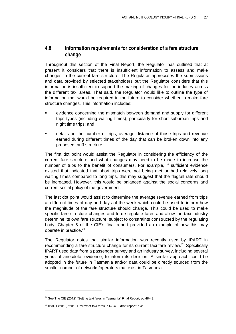## <span id="page-36-0"></span>**4.8 Information requirements for consideration of a fare structure change**

Throughout this section of the Final Report, the Regulator has outlined that at present it considers that there is insufficient information to assess and make changes to the current fare structure. The Regulator appreciates the submissions and data provided by selected stakeholders but the Regulator considers that this information is insufficient to support the making of changes for the industry across the different taxi areas. That said, the Regulator would like to outline the type of information that would be required in the future to consider whether to make fare structure changes. This information includes:

- evidence concerning the mismatch between demand and supply for different trips types (including waiting times), particularly for short suburban trips and night time trips; and
- details on the number of trips, average distance of those trips and revenue earned during different times of the day that can be broken down into any proposed tariff structure.

The first dot point would assist the Regulator in considering the efficiency of the current fare structure and what changes may need to be made to increase the number of trips to the benefit of consumers. For example, if sufficient evidence existed that indicated that short trips were not being met or had relatively long waiting times compared to long trips, this may suggest that the flagfall rate should be increased. However, this would be balanced against the social concerns and current social policy of the government.

The last dot point would assist to determine the average revenue earned from trips at different times of day and days of the week which could be used to inform how the magnitude of the fare structure should change. This could be used to make specific fare structure changes and to de-regulate fares and allow the taxi industry determine its own fare structure, subject to constraints constructed by the regulating body. Chapter 5 of the CIE's final report provided an example of how this may operate in practice.<sup>24</sup>

The Regulator notes that similar information was recently used by IPART in recommending a fare structure change for its current taxi fare review.<sup>25</sup> Specifically IPART used data from a passenger survey and an industry survey, including several years of anecdotal evidence, to inform its decision. A similar approach could be adopted in the future in Tasmania and/or data could be directly sourced from the smaller number of networks/operators that exist in Tasmania.

 $24$  See The CIE (2012) "Setting taxi fares in Tasmania" Final Report, pp. 48-49.

 $25$  IPART (2013) "2013 Review of taxi fares in NSW – draft report", p.41.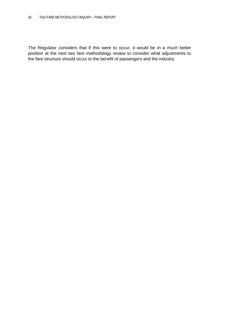The Regulator considers that if this were to occur, it would be in a much better position at the next taxi fare methodology review to consider what adjustments to the fare structure should occur to the benefit of passengers and the industry.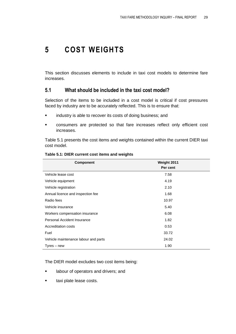# <span id="page-38-0"></span>**5 COST WEIGHTS**

This section discusses elements to include in taxi cost models to determine fare increases.

## <span id="page-38-1"></span>**5.1 What should be included in the taxi cost model?**

Selection of the items to be included in a cost model is critical if cost pressures faced by industry are to be accurately reflected. This is to ensure that:

- **i** industry is able to recover its costs of doing business; and
- consumers are protected so that fare increases reflect only efficient cost increases.

[Table 5.1](#page-38-2) presents the cost items and weights contained within the current DIER taxi cost model.

| Component                            | Weight 2011 |  |
|--------------------------------------|-------------|--|
|                                      | Per cent    |  |
| Vehicle lease cost                   | 7.58        |  |
| Vehicle equipment                    | 4.19        |  |
| Vehicle registration                 | 2.10        |  |
| Annual licence and inspection fee    | 1.68        |  |
| Radio fees                           | 10.97       |  |
| Vehicle insurance                    | 5.40        |  |
| Workers compensation insurance       | 6.08        |  |
| Personal Accident Insurance          | 1.82        |  |
| Accreditation costs                  | 0.53        |  |
| Fuel                                 | 33.72       |  |
| Vehicle maintenance labour and parts | 24.02       |  |
| Tyres – new                          | 1.90        |  |

#### <span id="page-38-2"></span>**Table 5.1: DIER current cost items and weights**

The DIER model excludes two cost items being:

- **If** labour of operators and drivers; and
- **taxi plate lease costs.**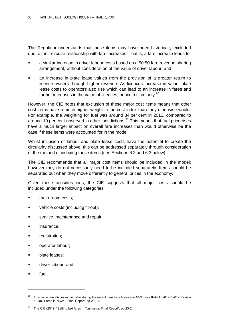The Regulator understands that these items may have been historically excluded due to their circular relationship with fare increases. That is, a fare increase leads to:

- a similar increase in driver labour costs based on a 50:50 fare revenue sharing arrangement, without consideration of the value of driver labour; and
- an increase in plate lease values from the provision of a greater return to licence owners through higher revenue. As licences increase in value, plate lease costs to operators also rise which can lead to an increase in fares and further increases in the value of licences, hence a circularity.<sup>26</sup>

However, the CIE notes that exclusion of these major cost items means that other cost items have a much higher weight in the cost index than they otherwise would. For example, the weighting for fuel was around 34 per cent in 2011, compared to around 10 per cent observed in other jurisdictions.<sup>27</sup> This means that fuel price rises have a much larger impact on overall fare increases than would otherwise be the case if these items were accounted for in the model.

Whilst inclusion of labour and plate lease costs have the potential to create the circularity discussed above, this can be addressed separately through consideration of the method of indexing these items (see Sections [6.2](#page-46-0) and [6.3](#page-49-0) below).

The CIE recommends that all major cost items should be included in the model; however they do not necessarily need to be included separately. Items should be separated out when they move differently to general prices in the economy.

Given these considerations, the CIE suggests that all major costs should be included under the following categories:

- **Fadio-room costs:**
- **•** vehicle costs (including fit-out);
- **service, maintenance and repair;**
- **ullering** insurance;
- registration;
- **•** operator labour;
- plate leases;
- **u** driver labour; and
- fuel.

<sup>&</sup>lt;sup>26</sup> This issue was discussed in detail during the recent Taxi Fare Review in NSW, see IPART (2012) "2012 Review of Taxi Fares in NSW - Final Report", pp. 29-31.

<sup>&</sup>lt;sup>27</sup> The CIE (2012) "Setting taxi fares in Tasmania: Final Report", pp.23-24.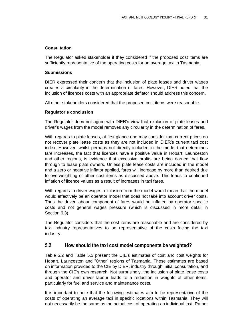#### **Consultation**

The Regulator asked stakeholder if they considered if the proposed cost items are sufficiently representative of the operating costs for an average taxi in Tasmania.

#### **Submissions**

DIER expressed their concern that the inclusion of plate leases and driver wages creates a circularity in the determination of fares. However, DIER noted that the inclusion of licences costs with an appropriate deflator should address this concern.

All other stakeholders considered that the proposed cost items were reasonable.

#### **Regulator's conclusion**

The Regulator does not agree with DIER's view that exclusion of plate leases and driver's wages from the model removes any circularity in the determination of fares.

With regards to plate leases, at first glance one may consider that current prices do not recover plate lease costs as they are not included in DIER's current taxi cost index. However, whilst perhaps not directly included in the model that determines fare increases, the fact that licences have a positive value in Hobart, Launceston and other regions, is evidence that excessive profits are being earned that flow through to lease plate owners. Unless plate lease costs are included in the model and a zero or negative inflator applied, fares will increase by more than desired due to overweighting of other cost items as discussed above. This leads to continued inflation of licence values as a result of increases in taxi fares.

With regards to driver wages, exclusion from the model would mean that the model would effectively be an operator model that does not take into account driver costs. Thus the driver labour component of fares would be inflated by operator specific costs and not general wages pressure (which is discussed in more detail in Section [6.3\)](#page-49-0).

The Regulator considers that the cost items are reasonable and are considered by taxi industry representatives to be representative of the costs facing the taxi industry.

## <span id="page-40-0"></span>**5.2 How should the taxi cost model components be weighted?**

[Table 5.2](#page-41-0) and [Table 5.3](#page-42-0) present the CIE's estimates of cost and cost weights for Hobart, Launceston and "Other" regions of Tasmania. These estimates are based on information provided to the CIE by DIER, industry through initial consultation, and through the CIE's own research. Not surprisingly, the inclusion of plate lease costs and operator and driver labour leads to a reduction in weights of other items, particularly for fuel and service and maintenance costs.

It is important to note that the following estimates aim to be representative of the costs of operating an average taxi in specific locations within Tasmania. They will not necessarily be the same as the actual cost of operating an individual taxi. Rather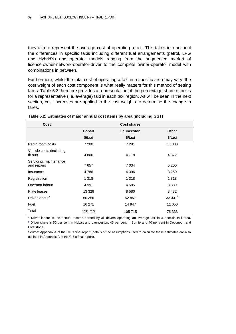they aim to represent the average cost of operating a taxi. This takes into account the differences in specific taxis including different fuel arrangements (petrol, LPG and Hybrid's) and operator models ranging from the segmented market of licence owner-network-operator-driver to the complete owner-operator model with combinations in between.

Furthermore, whilst the total cost of operating a taxi in a specific area may vary, the cost weight of each cost component is what really matters for this method of setting fares. [Table 5.3](#page-42-0) therefore provides a representation of the percentage share of costs for a representative (i.e. average) taxi in each taxi region. As will be seen in the next section, cost increases are applied to the cost weights to determine the change in fares.

| Cost                                  |               | <b>Cost shares</b> |                     |
|---------------------------------------|---------------|--------------------|---------------------|
|                                       | <b>Hobart</b> | Launceston         | <b>Other</b>        |
|                                       | \$/taxi       | \$/taxi            | \$/taxi             |
| Radio room costs                      | 7 200         | 7 2 8 1            | 11880               |
| Vehicle costs (including<br>fit out)  | 4 8 0 6       | 4718               | 4 3 7 2             |
| Servicing, maintenance<br>and repairs | 7657          | 7 0 34             | 5 200               |
| Insurance                             | 4786          | 4 3 9 6            | 3 2 5 0             |
| Registration                          | 1 3 1 8       | 1 3 1 8            | 1 3 1 8             |
| Operator labour                       | 4 9 9 1       | 4585               | 3 3 8 9             |
| Plate leases                          | 13 3 28       | 8580               | 3 4 3 2             |
| Driver labour <sup>a</sup>            | 60 356        | 52 857             | 32 441 <sup>b</sup> |
| Fuel                                  | 16 271        | 14 947             | 11 050              |
| Total                                 | 120 713       | 105 715            | 76 333              |

<span id="page-41-0"></span>

| Table 5.2: Estimates of major annual cost items by area (including GST) |  |  |
|-------------------------------------------------------------------------|--|--|
|-------------------------------------------------------------------------|--|--|

a Driver labour is the annual income earned by all drivers operating an average taxi in a specific taxi area. b Driver share is 50 per cent in Hobart and Launceston, 45 per cent in Burnie and 40 per cent in Devonport and Ulverstone.

Source: Appendix A of the CIE's final report (details of the assumptions used to calculate these estimates are also outlined in Appendix A of the CIE's final report).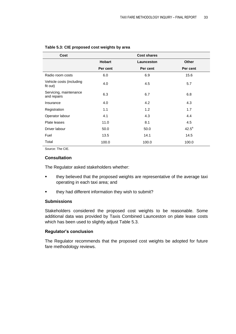| Cost                                  |               | <b>Cost shares</b> |                |
|---------------------------------------|---------------|--------------------|----------------|
|                                       | <b>Hobart</b> | Launceston         | <b>Other</b>   |
|                                       | Per cent      | Per cent           | Per cent       |
| Radio room costs                      | 6.0           | 6.9                | 15.6           |
| Vehicle costs (including<br>fit out)  | 4.0           | 4.5                | 5.7            |
| Servicing, maintenance<br>and repairs | 6.3           | 6.7                | 6.8            |
| Insurance                             | 4.0           | 4.2                | 4.3            |
| Registration                          | 1.1           | 1.2                | 1.7            |
| Operator labour                       | 4.1           | 4.3                | 4.4            |
| Plate leases                          | 11.0          | 8.1                | 4.5            |
| Driver labour                         | 50.0          | 50.0               | $42.5^{\circ}$ |
| Fuel                                  | 13.5          | 14.1               | 14.5           |
| Total                                 | 100.0         | 100.0              | 100.0          |

#### <span id="page-42-0"></span>**Table 5.3: CIE proposed cost weights by area**

Source: The CIE.

#### **Consultation**

The Regulator asked stakeholders whether:

- **they believed that the proposed weights are representative of the average taxi** operating in each taxi area; and
- **they had different information they wish to submit?**

#### **Submissions**

Stakeholders considered the proposed cost weights to be reasonable. Some additional data was provided by Taxis Combined Launceston on plate lease costs which has been used to slightly adjust [Table 5.3.](#page-42-0)

#### **Regulator's conclusion**

The Regulator recommends that the proposed cost weights be adopted for future fare methodology reviews.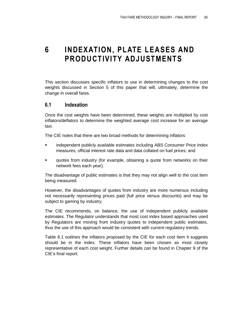# <span id="page-44-0"></span>**6 INDEXATION, PLATE LEASES AND PRODUCTIVITY ADJUSTMENTS**

This section discusses specific inflators to use in determining changes to the cost weights discussed in Section 5 of this paper that will, ultimately, determine the change in overall fares.

## <span id="page-44-1"></span>**6.1 Indexation**

Once the cost weights have been determined, these weights are multiplied by cost inflators/deflators to determine the weighted average cost increase for an average taxi.

The CIE notes that there are two broad methods for determining inflators:

- **EXECT** independent publicly available estimates including ABS Consumer Price Index measures, official interest rate data and data collated on fuel prices; and
- quotes from industry (for example, obtaining a quote from networks on their network fees each year).

The disadvantage of public estimates is that they may not align well to the cost item being measured.

However, the disadvantages of quotes from industry are more numerous including not necessarily representing prices paid (full price versus discounts) and may be subject to gaming by industry.

The CIE recommends, on balance, the use of independent publicly available estimates. The Regulator understands that most cost index based approaches used by Regulators are moving from industry quotes to independent public estimates, thus the use of this approach would be consistent with current regulatory trends.

[Table 6.1](#page-45-0) outlines the inflators proposed by the CIE for each cost item it suggests should be in the index. These inflators have been chosen as most closely representative of each cost weight. Further details can be found in Chapter 9 of the CIE's final report.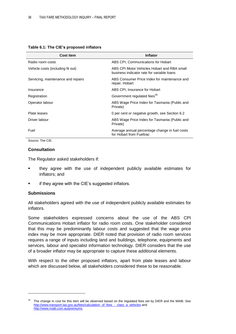#### <span id="page-45-0"></span>**Table 6.1: The CIE's proposed inflators**

| <b>Cost item</b>                   | <b>Inflator</b>                                                                           |
|------------------------------------|-------------------------------------------------------------------------------------------|
| Radio room costs                   | ABS CPI, Communications for Hobart                                                        |
| Vehicle costs (including fit out)  | ABS CPI Motor Vehicles Hobart and RBA small<br>business indicator rate for variable loans |
| Servicing, maintenance and repairs | ABS Consumer Price Index for maintenance and<br>repair, Hobart                            |
| Insurance                          | ABS CPI, Insurance for Hobart                                                             |
| Registration                       | Government regulated fees <sup>28</sup>                                                   |
| Operator labour                    | ABS Wage Price Index for Tasmania (Public and<br>Private)                                 |
| Plate leases                       | 0 per cent or negative growth, see Section 6.2                                            |
| Driver labour                      | ABS Wage Price Index for Tasmania (Public and<br>Private)                                 |
| Fuel                               | Average annual percentage change in fuel costs<br>for Hobart from Fueltrac                |

Source: The CIE.

#### **Consultation**

The Regulator asked stakeholders if:

- they agree with the use of independent publicly available estimates for inflators; and
- if they agree with the CIE's suggested inflators.

#### **Submissions**

 $\overline{a}$ 

All stakeholders agreed with the use of independent publicly available estimates for inflators.

Some stakeholders expressed concerns about the use of the ABS CPI Communications Hobart inflator for radio room costs. One stakeholder considered that this may be predominantly labour costs and suggested that the wage price index may be more appropriate. DIER noted that provision of radio room services requires a range of inputs including land and buildings, telephone, equipments and services, labour and specialist information technology. DIER considers that the use of a broader inflator may be appropriate to capture these additional elements.

With respect to the other proposed inflators, apart from plate leases and labour which are discussed below, all stakeholders considered these to be reasonable.

The change in cost for this item will be observed based on the regulated fees set by DIER and the MAIB. See [http://www.transport.tas.gov.au/fees/calculation\\_of\\_fees\\_-\\_class\\_a\\_vehicles](http://www.transport.tas.gov.au/fees/calculation_of_fees_-_class_a_vehicles) and [http://www.maib.com.au/premiums.](http://www.maib.com.au/premiums)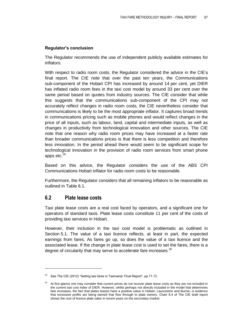#### **Regulator's conclusion**

The Regulator recommends the use of independent publicly available estimates for inflators.

With respect to radio room costs, the Regulator considered the advice in the CIE's final report. The CIE note that over the past ten years, the Communications sub-component of the Hobart CPI has increased by around 14 per cent, yet DIER has inflated radio room fees in the taxi cost model by around 33 per cent over the same period based on quotes from industry sources. The CIE consider that while this suggests that the communications sub-component of the CPI may not accurately reflect changes in radio room costs, the CIE nevertheless consider that communications is likely to be the most appropriate inflator. It captures broad trends in communications pricing such as mobile phones and would reflect changes in the price of all inputs, such as labour, land, capital and intermediate inputs, as well as changes in productivity from technological innovation and other sources. The CIE note that one reason why radio room prices may have increased at a faster rate than broader communications prices is that there is less competition and therefore less innovation. In the period ahead there would seem to be significant scope for technological innovation in the provision of radio room services from smart phone apps  $etc.<sup>29</sup>$ 

Based on this advice, the Regulator considers the use of the ABS CPI Communications Hobart inflator for radio room costs to be reasonable.

Furthermore, the Regulator considers that all remaining inflators to be reasonable as outlined in Table 6.1.

## <span id="page-46-0"></span>**6.2 Plate lease costs**

 $\overline{a}$ 

Taxi plate lease costs are a real cost faced by operators, and a significant one for operators of standard taxis. Plate lease costs constitute 11 per cent of the costs of providing taxi services in Hobart.

However, their inclusion in the taxi cost model is problematic as outlined in Section [5.1.](#page-38-1) The value of a taxi licence reflects, at least in part, the expected earnings from fares. As fares go up, so does the value of a taxi licence and the associated lease. If the change in plate lease cost is used to set the fares, there is a degree of circularity that may serve to accelerate fare increases. $30$ 

See The CIE (2012) "Setting taxi fares in Tasmania: Final Report", pp.71-72.

<sup>30</sup> At first glance one may consider that current prices do not recover plate lease costs as they are not included in the current taxi cost index of DIER. However, whilst perhaps not directly included in the model that determines fare increases, the fact that plates leases have a positive value in Hobart, Launceston and Burnie, is evidence that excessive profits are being earned that flow through to plate owners. Chart 9.4 of The CIE draft report shows the cost of licence plate sales in recent years on the secondary market.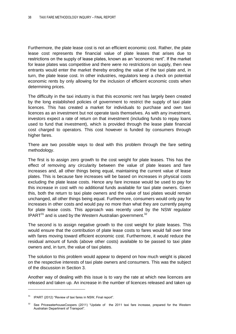Furthermore, the plate lease cost is not an efficient economic cost. Rather, the plate lease cost represents the financial value of plate leases that arises due to restrictions on the supply of lease plates, known as an "economic rent". If the market for lease plates was competitive and there were no restrictions on supply, then new entrants would enter the market thereby eroding the value of the taxi plate and, in turn, the plate lease cost. In other industries, regulators keep a check on potential economic rents by only allowing for the inclusion of efficient economic costs when determining prices.

The difficulty in the taxi industry is that this economic rent has largely been created by the long established policies of government to restrict the supply of taxi plate licences. This has created a market for individuals to purchase and own taxi licences as an investment but not operate taxis themselves. As with any investment, investors expect a rate of return on that investment (including funds to repay loans used to fund that investment), which is provided through the lease plate financial cost charged to operators. This cost however is funded by consumers through higher fares.

There are two possible ways to deal with this problem through the fare setting methodology.

The first is to assign zero growth to the cost weight for plate leases. This has the effect of removing any circularity between the value of plate leases and fare increases and, all other things being equal, maintaining the current value of lease plates. This is because fare increases will be based on increases in physical costs excluding the plate lease costs. Hence any fare increase would be used to pay for this increase in cost with no additional funds available for taxi plate owners. Given this, both the return to taxi plate owners and the value of taxi plates would remain unchanged, all other things being equal. Furthermore, consumers would only pay for increases in other costs and would pay no more than what they are currently paying for plate lease costs. This approach was recently used by the NSW regulator IPART $^{31}$  and is used by the Western Australian government.<sup>32</sup>

The second is to assign negative growth to the cost weight for plate leases. This would ensure that the contribution of plate lease costs to fares would fall over time with fares moving toward efficient economic cost. Furthermore, it would reduce the residual amount of funds (above other costs) available to be passed to taxi plate owners and, in turn, the value of taxi plates.

The solution to this problem would appear to depend on how much weight is placed on the respective interests of taxi plate owners and consumers. This was the subject of the discussion in Section [3.](#page-16-0)

Another way of dealing with this issue is to vary the rate at which new licences are released and taken up. An increase in the number of licences released and taken up

<sup>31</sup> IPART (2012) "Review of taxi fares in NSW, Final report".

See PricewaterhouseCoopers (2011) "Update of the 2011 taxi fare increase, prepared for the Western Australian Department of Transport".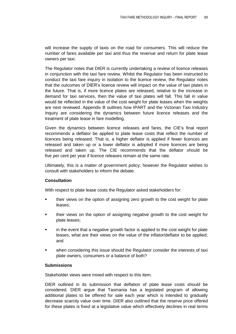will increase the supply of taxis on the road for consumers. This will reduce the number of fares available per taxi and thus the revenue and return for plate lease owners per taxi.

The Regulator notes that DIER is currently undertaking a review of licence releases in conjunction with the taxi fare review. Whilst the Regulator has been instructed to conduct the taxi fare inquiry in isolation to the licence review, the Regulator notes that the outcomes of DIER's licence review will impact on the value of taxi plates in the future. That is, if more licence plates are released, relative to the increase in demand for taxi services, then the value of taxi plates will fall. This fall in value would be reflected in the value of the cost weight for plate leases when the weights are next reviewed. Appendix B outlines how IPART and the Victorian Taxi Industry Inquiry are considering the dynamics between future licence releases and the treatment of plate lease in fare modelling.

Given the dynamics between licence releases and fares, the CIE's final report recommends a deflator be applied to plate lease costs that reflect the number of licences being released. That is, a higher deflator is applied if fewer licences are released and taken up or a lower deflator is adopted if more licences are being released and taken up. The CIE recommends that the deflator should be five per cent per year if licence releases remain at the same rate.

Ultimately, this is a matter of government policy; however the Regulator wishes to consult with stakeholders to inform the debate.

#### **Consultation**

With respect to plate lease costs the Regulator asked stakeholders for:

- their views on the option of assigning zero growth to the cost weight for plate leases;
- **their views on the option of assigning negative growth to the cost weight for** plate leases;
- in the event that a negative growth factor is applied to the cost weight for plate leases, what are their views on the value of the inflator/deflator to be applied; and
- when considering this issue should the Regulator consider the interests of taxi plate owners, consumers or a balance of both?

#### **Submissions**

Stakeholder views were mixed with respect to this item.

DIER outlined in its submission that deflation of plate lease costs should be considered. DIER argue that Tasmania has a legislated program of allowing additional plates to be offered for sale each year which is intended to gradually decrease scarcity value over time. DIER also outlined that the reserve price offered for these plates is fixed at a legislative value which effectively declines in real terms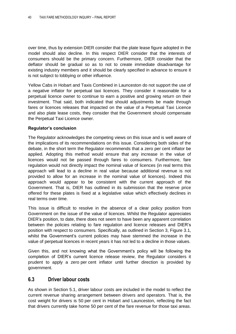over time, thus by extension DIER consider that the plate lease figure adopted in the model should also decline. In this respect DIER consider that the interests of consumers should be the primary concern. Furthermore, DIER consider that the deflator should be gradual so as to not to create immediate disadvantage for existing industry members and it should be clearly specified in advance to ensure it is not subject to lobbying or other influence.

Yellow Cabs in Hobart and Taxis Combined in Launceston do not support the use of a negative inflator for perpetual taxi licences. They consider it reasonable for a perpetual licence owner to continue to earn a positive and growing return on their investment. That said, both indicated that should adjustments be made through fares or licences releases that impacted on the value of a Perpetual Taxi Licence and also plate lease costs, they consider that the Government should compensate the Perpetual Taxi Licence owner.

#### **Regulator's conclusion**

The Regulator acknowledges the competing views on this issue and is well aware of the implications of its recommendations on this issue. Considering both sides of the debate, in the short term the Regulator recommends that a zero per cent inflator be applied. Adopting this method would ensure that any increase in the value of licences would not be passed through fares to consumers. Furthermore, fare regulation would not directly impact the nominal value of licences (in real terms this approach will lead to a decline in real value because additional revenue is not provided to allow for an increase in the nominal value of licences). Indeed this approach would appear to be consistent with the current approach of the Government. That is, DIER has outlined in its submission that the reserve price offered for these plates is fixed at a legislative value which effectively declines in real terms over time.

This issue is difficult to resolve in the absence of a clear policy position from Government on the issue of the value of licences. Whilst the Regulator appreciates DIER's position, to date, there does not seem to have been any apparent correlation between the policies relating to fare regulation and licence releases and DIER's position with respect to consumers. Specifically, as outlined in Section [3,](#page-16-0) [Figure 3.1,](#page-20-0) whilst the Government's current policies may have stemmed the increase in the value of perpetual licences in recent years it has not led to a decline in those values.

Given this, and not knowing what the Government's policy will be following the completion of DIER's current licence release review, the Regulator considers it prudent to apply a zero per cent inflator until further direction is provided by government.

## <span id="page-49-0"></span>**6.3 Driver labour costs**

As shown in Section [5.1,](#page-38-1) driver labour costs are included in the model to reflect the current revenue sharing arrangement between drivers and operators. That is, the cost weight for drivers is 50 per cent in Hobart and Launceston, reflecting the fact that drivers currently take home 50 per cent of the fare revenue for those taxi areas.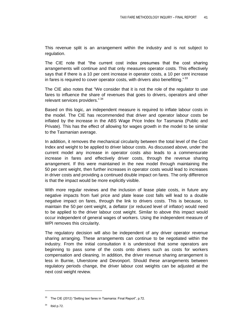This revenue split is an arrangement within the industry and is not subject to regulation.

The CIE note that "the current cost index presumes that the cost sharing arrangements will continue and that only measures operator costs. This effectively says that if there is a 10 per cent increase in operator costs, a 10 per cent increase in fares is required to cover operator costs, with drivers also benefitting."  $^{33}$ 

The CIE also notes that "We consider that it is not the role of the regulator to use fares to influence the share of revenues that goes to drivers, operators and other relevant services providers." <sup>34</sup>

Based on this logic, an independent measure is required to inflate labour costs in the model. The CIE has recommended that driver and operator labour costs be inflated by the increase in the ABS Wage Price Index for Tasmania (Public and Private). This has the effect of allowing for wages growth in the model to be similar to the Tasmanian average.

In addition, it removes the mechanical circularity between the total level of the Cost Index and weight to be applied to driver labour costs. As discussed above, under the current model any increase in operator costs also leads to a commensurate increase in fares and effectively driver costs, through the revenue sharing arrangement. If this were maintained in the new model through maintaining the 50 per cent weight, then further increases in operator costs would lead to increases in driver costs and providing a continued double impact on fares. The only difference is that the impact would be more explicitly visible.

With more regular reviews and the inclusion of lease plate costs, in future any negative impacts from fuel price and plate lease cost falls will lead to a double negative impact on fares, through the link to drivers costs. This is because, to maintain the 50 per cent weight, a deflator (or reduced level of inflator) would need to be applied to the driver labour cost weight. Similar to above this impact would occur independent of general wages of workers. Using the independent measure of WPI removes this circularity.

The regulatory decision will also be independent of any driver operator revenue sharing arranging. These arrangements can continue to be negotiated within the industry. From the initial consultation it is understood that some operators are beginning to pass some of the costs onto drivers such as costs for workers compensation and cleaning. In addition, the driver revenue sharing arrangement is less in Burnie, Ulverstone and Devonport. Should these arrangements between regulatory periods change, the driver labour cost weights can be adjusted at the next cost weight review.

<sup>&</sup>lt;sup>33</sup> The CIE (2012) "Setting taxi fares in Tasmania: Final Report", p.72.

 $34$  Ibid p.72.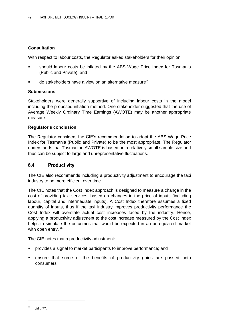#### **Consultation**

With respect to labour costs, the Regulator asked stakeholders for their opinion:

- should labour costs be inflated by the ABS Wage Price Index for Tasmania (Public and Private); and
- do stakeholders have a view on an alternative measure?

#### **Submissions**

Stakeholders were generally supportive of including labour costs in the model including the proposed inflation method. One stakeholder suggested that the use of Average Weekly Ordinary Time Earnings (AWOTE) may be another appropriate measure.

#### **Regulator's conclusion**

The Regulator considers the CIE's recommendation to adopt the ABS Wage Price Index for Tasmania (Public and Private) to be the most appropriate. The Regulator understands that Tasmanian AWOTE is based on a relatively small sample size and thus can be subject to large and unrepresentative fluctuations.

## <span id="page-51-0"></span>**6.4 Productivity**

The CIE also recommends including a productivity adjustment to encourage the taxi industry to be more efficient over time.

The CIE notes that the Cost Index approach is designed to measure a change in the cost of providing taxi services, based on changes in the price of inputs (including labour, capital and intermediate inputs). A Cost Index therefore assumes a fixed quantity of inputs, thus if the taxi industry improves productivity performance the Cost Index will overstate actual cost increases faced by the industry. Hence, applying a productivity adjustment to the cost increase measured by the Cost Index helps to simulate the outcomes that would be expected in an unregulated market with open entry. 35

The CIE notes that a productivity adjustment:

- provides a signal to market participants to improve performance; and
- ensure that some of the benefits of productivity gains are passed onto consumers.

<sup>35</sup> Ibid p.77.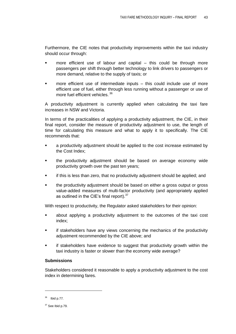Furthermore, the CIE notes that productivity improvements within the taxi industry should occur through:

- more efficient use of labour and capital this could be through more passengers per shift through better technology to link drivers to passengers or more demand, relative to the supply of taxis; or
- more efficient use of intermediate inputs this could include use of more efficient use of fuel, either through less running without a passenger or use of more fuel efficient vehicles.<sup>36</sup>

A productivity adjustment is currently applied when calculating the taxi fare increases in NSW and Victoria.

In terms of the practicalities of applying a productivity adjustment, the CIE, in their final report, consider the measure of productivity adjustment to use, the length of time for calculating this measure and what to apply it to specifically. The CIE recommends that:

- a productivity adjustment should be applied to the cost increase estimated by the Cost Index;
- the productivity adjustment should be based on average economy wide productivity growth over the past ten years;
- **EXECT** if this is less than zero, that no productivity adjustment should be applied; and
- the productivity adjustment should be based on either a gross output or gross value-added measures of multi-factor productivity (and appropriately applied as outlined in the CIE's final report).<sup>37</sup>

With respect to productivity, the Regulator asked stakeholders for their opinion:

- about applying a productivity adjustment to the outcomes of the taxi cost index;
- if stakeholders have any views concerning the mechanics of the productivity adjustment recommended by the CIE above; and
- if stakeholders have evidence to suggest that productivity growth within the taxi industry is faster or slower than the economy wide average?

#### **Submissions**

Stakeholders considered it reasonable to apply a productivity adjustment to the cost index in determining fares.

<sup>36</sup> Ibid p.77.

 $37$  See Ibid p.79.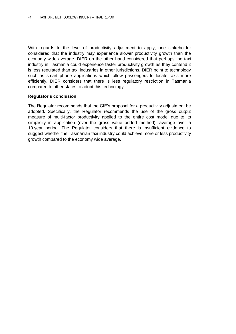With regards to the level of productivity adjustment to apply, one stakeholder considered that the industry may experience slower productivity growth than the economy wide average. DIER on the other hand considered that perhaps the taxi industry in Tasmania could experience faster productivity growth as they contend it is less regulated than taxi industries in other jurisdictions. DIER point to technology such as smart phone applications which allow passengers to locate taxis more efficiently. DIER considers that there is less regulatory restriction in Tasmania compared to other states to adopt this technology.

#### **Regulator's conclusion**

The Regulator recommends that the CIE's proposal for a productivity adjustment be adopted. Specifically, the Regulator recommends the use of the gross output measure of multi-factor productivity applied to the entire cost model due to its simplicity in application (over the gross value added method), average over a 10 year period. The Regulator considers that there is insufficient evidence to suggest whether the Tasmanian taxi industry could achieve more or less productivity growth compared to the economy wide average.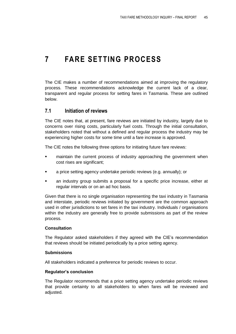# <span id="page-54-0"></span>**7 FARE SETTING PROCESS**

The CIE makes a number of recommendations aimed at improving the regulatory process. These recommendations acknowledge the current lack of a clear, transparent and regular process for setting fares in Tasmania. These are outlined below.

## <span id="page-54-1"></span>**7.1 Initiation of reviews**

The CIE notes that, at present, fare reviews are initiated by industry, largely due to concerns over rising costs, particularly fuel costs. Through the initial consultation, stakeholders noted that without a defined and regular process the industry may be experiencing higher costs for some time until a fare increase is approved.

The CIE notes the following three options for initiating future fare reviews:

- **EXED** maintain the current process of industry approaching the government when cost rises are significant;
- a price setting agency undertake periodic reviews (e.g. annually); or
- an industry group submits a proposal for a specific price increase, either at regular intervals or on an ad hoc basis.

Given that there is no single organisation representing the taxi industry in Tasmania and interstate, periodic reviews initiated by government are the common approach used in other jurisdictions to set fares in the taxi industry. Individuals / organisations within the industry are generally free to provide submissions as part of the review process.

#### **Consultation**

The Regulator asked stakeholders if they agreed with the CIE's recommendation that reviews should be initiated periodically by a price setting agency.

#### **Submissions**

All stakeholders indicated a preference for periodic reviews to occur.

#### **Regulator's conclusion**

The Regulator recommends that a price setting agency undertake periodic reviews that provide certainty to all stakeholders to when fares will be reviewed and adjusted.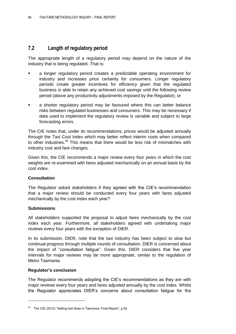## <span id="page-55-0"></span>**7.2 Length of regulatory period**

The appropriate length of a regulatory period may depend on the nature of the industry that is being regulated. That is:

- a longer regulatory period creates a predictable operating environment for industry and increases price certainty for consumers. Longer regulatory periods create greater incentives for efficiency given that the regulated business is able to retain any achieved cost savings until the following review period (above any productivity adjustments imposed by the Regulator); or
- a shorter regulatory period may be favoured where this can better balance risks between regulated businesses and consumers. This may be necessary if data used to implement the regulatory review is variable and subject to large forecasting errors.

The CIE notes that, under its recommendations, prices would be adjusted annually through the Taxi Cost Index which may better reflect interim costs when compared to other industries.<sup>38</sup> This means that there would be less risk of mismatches with industry cost and fare changes.

Given this, the CIE recommends a major review every four years in which the cost weights are re-examined with fares adjusted mechanically on an annual basis by the cost index.

## **Consultation**

The Regulator asked stakeholders if they agreed with the CIE's recommendation that a major review should be conducted every four years with fares adjusted mechanically by the cost index each year?

#### **Submissions**

All stakeholders supported the proposal to adjust fares mechanically by the cost index each year. Furthermore, all stakeholders agreed with undertaking major reviews every four years with the exception of DIER.

In its submission, DIER, note that the taxi industry has been subject to slow but continual progress through multiple rounds of consultation. DIER is concerned about the impact of "consultation fatigue". Given this, DIER considers that five year intervals for major reviews may be more appropriate, similar to the regulation of Metro Tasmania.

#### **Regulator's conclusion**

The Regulator recommends adopting the CIE's recommendations as they are with major reviews every four years and fares adjusted annually by the cost index. Whilst the Regulator appreciates DIER's concerns about consultation fatigue for the

 $38$  The CIE (2012) "Setting taxi fares in Tasmania: Final Report", p.92.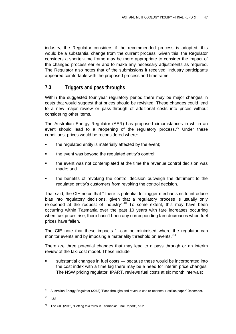industry, the Regulator considers if the recommended process is adopted, this would be a substantial change from the current process. Given this, the Regulator considers a shorter-time frame may be more appropriate to consider the impact of the changed process earlier and to make any necessary adjustments as required. The Regulator also notes that of the submissions it received, industry participants appeared comfortable with the proposed process and timeframe.

## <span id="page-56-0"></span>**7.3 Triggers and pass throughs**

Within the suggested four year regulatory period there may be major changes in costs that would suggest that prices should be revisited. These changes could lead to a new major review or pass-through of additional costs into prices without considering other items.

The Australian Energy Regulator (AER) has proposed circumstances in which an event should lead to a reopening of the regulatory process.<sup>39</sup> Under these conditions, prices would be reconsidered where:

- **the regulated entity is materially affected by the event;**
- the event was beyond the regulated entity's control;
- **the event was not contemplated at the time the revenue control decision was** made; and
- the benefits of revoking the control decision outweigh the detriment to the regulated entity's customers from revoking the control decision.

That said, the CIE notes that "There is potential for trigger mechanisms to introduce bias into regulatory decisions, given that a regulatory process is usually only re-opened at the request of industry". $40$  To some extent, this may have been occurring within Tasmania over the past 10 years with fare increases occurring when fuel prices rise, there hasn't been any corresponding fare decreases when fuel prices have fallen.

The CIE note that these impacts "...can be minimised where the regulator can monitor events and by imposing a materiality threshold on events."<sup>41</sup>

There are three potential changes that may lead to a pass through or an interim review of the taxi cost model. These include:

 substantial changes in fuel costs — because these would be incorporated into the cost index with a time lag there may be a need for interim price changes. The NSW pricing regulator, IPART, reviews fuel costs at six month intervals;

 $\overline{a}$ 

<sup>39</sup> Australian Energy Regulator (2012) "Pass-throughs and revenue-cap re-openers: Position paper" December.

 $40$  Ibid.

<sup>&</sup>lt;sup>41</sup> The CIE (2012) "Setting taxi fares in Tasmania: Final Report", p.92.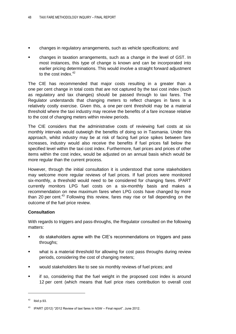- changes in regulatory arrangements, such as vehicle specifications; and
- changes in taxation arrangements, such as a change in the level of GST. In most instances, this type of change is known and can be incorporated into earlier pricing determinations. This would involve a straight forward adjustment to the cost index  $42$

The CIE has recommended that major costs resulting in a greater than a one per cent change in total costs that are not captured by the taxi cost index (such as regulatory and tax changes) should be passed through to taxi fares. The Regulator understands that changing meters to reflect changes in fares is a relatively costly exercise. Given this, a one per cent threshold may be a material threshold where the taxi industry may receive the benefits of a fare increase relative to the cost of changing meters within review periods.

The CIE considers that the administrative costs of reviewing fuel costs at six monthly intervals would outweigh the benefits of doing so in Tasmania. Under this approach, whilst industry may be at risk of facing fuel price spikes between fare increases, industry would also receive the benefits if fuel prices fall below the specified level within the taxi cost index. Furthermore, fuel prices and prices of other items within the cost index, would be adjusted on an annual basis which would be more regular than the current process.

However, through the initial consultation it is understood that some stakeholders may welcome more regular reviews of fuel prices. If fuel prices were monitored six-monthly, a threshold would need to be considered for changing fares. IPART currently monitors LPG fuel costs on a six-monthly basis and makes a recommendation on new maximum fares when LPG costs have changed by more than 20 per cent.<sup>43</sup> Following this review, fares may rise or fall depending on the outcome of the fuel price review.

## **Consultation**

With regards to triggers and pass-throughs, the Regulator consulted on the following matters:

- do stakeholders agree with the CIE's recommendations on triggers and pass throughs;
- **•** what is a material threshold for allowing for cost pass throughs during review periods, considering the cost of changing meters;
- would stakeholders like to see six monthly reviews of fuel prices; and
- if so, considering that the fuel weight in the proposed cost index is around 12 per cent (which means that fuel price rises contribution to overall cost

 $\overline{a}$ 

 $42$  Ibid p.93.

<sup>&</sup>lt;sup>43</sup> IPART (2012) "2012 Review of taxi fares in NSW – Final report". June 2012.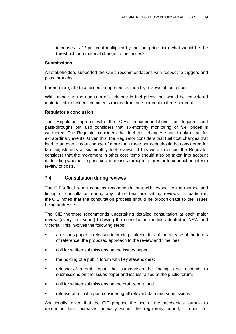increases is 12 per cent multiplied by the fuel price rise) what would be the threshold for a material change to fuel prices?

#### **Submissions**

All stakeholders supported the CIE's recommendations with respect to triggers and pass throughs.

Furthermore, all stakeholders supported six-monthly reviews of fuel prices.

With respect to the quantum of a change in fuel prices that would be considered material, stakeholders' comments ranged from one per cent to three per cent.

#### **Regulator's conclusion**

The Regulator agrees with the CIE's recommendations for triggers and pass-throughs but also considers that six-monthly monitoring of fuel prices is warranted. The Regulator considers that fuel cost changes should only occur for extraordinary events. Given this, the Regulator considers that fuel cost changes that lead to an overall cost change of more than three per cent should be considered for fare adjustments at six-monthly fuel reviews. If this were to occur, the Regulator considers that the movement in other cost items should also be taken into account in deciding whether to pass cost increases through to fares or to conduct an interim review of costs.

## <span id="page-58-0"></span>**7.4 Consultation during reviews**

The CIE's final report contains recommendations with respect to the method and timing of consultation during any future taxi fare setting reviews. In particular, the CIE notes that the consultation process should be proportionate to the issues being addressed.

The CIE therefore recommends undertaking detailed consultation at each major review (every four years) following the consultation models adopted in NSW and Victoria. This involves the following steps:

- an issues paper is released informing stakeholders of the release of the terms of reference, the proposed approach to the review and timelines;
- **Example 1** call for written submissions on the issues paper:
- the holding of a public forum with key stakeholders:
- release of a draft report that summarises the findings and responds to submissions on the issues paper and issues raised at the public forum;
- call for written submissions on the draft report; and
- release of a final report considering all relevant data and submissions.

Additionally, given that the CIE propose the use of the mechanical formula to determine fare increases annually within the regulatory period, it does not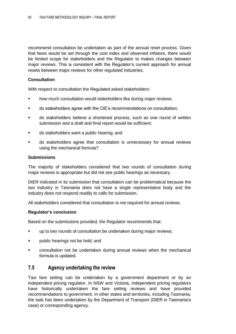recommend consultation be undertaken as part of the annual reset process. Given that fares would be set through the cost index and observed inflators, there would be limited scope for stakeholders and the Regulator to makes changes between major reviews. This is consistent with the Regulator's current approach for annual resets between major reviews for other regulated industries.

#### **Consultation**

With respect to consultation the Regulated asked stakeholders:

- how much consultation would stakeholders like during major reviews;
- do stakeholders agree with the CIE's recommendations on consultation;
- do stakeholders believe a shortened process, such as one round of written submission and a draft and final report would be sufficient;
- **do stakeholders want a public hearing; and**
- do stakeholders agree that consultation is unnecessary for annual reviews using the mechanical formula?

#### **Submissions**

The majority of stakeholders considered that two rounds of consultation during major reviews is appropriate but did not see public hearings as necessary.

DIER indicated in its submission that consultation can be problematical because the taxi industry in Tasmania does not have a single representative body and the industry does not respond readily to calls for submission.

All stakeholders considered that consultation is not required for annual reviews.

#### **Regulator's conclusion**

Based on the submissions provided, the Regulator recommends that:

- up to two rounds of consultation be undertaken during major reviews;
- public hearings not be held; and
- consultation not be undertaken during annual reviews when the mechanical formula is updated.

## <span id="page-59-0"></span>**7.5 Agency undertaking the review**

Taxi fare setting can be undertaken by a government department or by an independent pricing regulator. In NSW and Victoria, independent pricing regulators have historically undertaken the fare setting reviews and have provided recommendations to government. In other states and territories, including Tasmania, the task has been undertaken by the Department of Transport (DIER in Tasmania's case) or corresponding agency.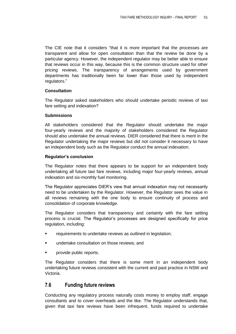The CIE note that it considers "that it is more important that the processes are transparent and allow for open consultation than that the review be done by a particular agency. However, the independent regulator may be better able to ensure that reviews occur in this way, because this is the common structure used for other pricing reviews. The transparency of arrangements used by government departments has traditionally been far lower than those used by independent regulators."

#### **Consultation**

The Regulator asked stakeholders who should undertake periodic reviews of taxi fare setting and indexation?

#### **Submissions**

All stakeholders considered that the Regulator should undertake the major four-yearly reviews and the majority of stakeholders considered the Regulator should also undertake the annual reviews. DIER considered that there is merit in the Regulator undertaking the major reviews but did not consider it necessary to have an independent body such as the Regulator conduct the annual indexation.

#### **Regulator's conclusion**

The Regulator notes that there appears to be support for an independent body undertaking all future taxi fare reviews, including major four-yearly reviews, annual indexation and six-monthly fuel monitoring.

The Regulator appreciates DIER's view that annual indexation may not necessarily need to be undertaken by the Regulator. However, the Regulator sees the value in all reviews remaining with the one body to ensure continuity of process and consolidation of corporate knowledge.

The Regulator considers that transparency and certainty with the fare setting process is crucial. The Regulator's processes are designed specifically for price regulation, including:

- requirements to undertake reviews as outlined in legislation;
- undertake consultation on those reviews; and
- provide public reports.

The Regulator considers that there is some merit in an independent body undertaking future reviews consistent with the current and past practice in NSW and Victoria.

## <span id="page-60-0"></span>**7.6 Funding future reviews**

Conducting any regulatory process naturally costs money to employ staff, engage consultants and to cover overheads and the like. The Regulator understands that, given that taxi fare reviews have been infrequent, funds required to undertake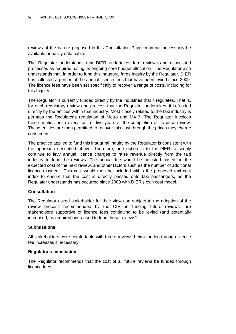reviews of the nature proposed in this Consultation Paper may not necessarily be available or easily obtainable.

The Regulator understands that DIER undertakes fare reviews and associated processes as required, using its ongoing core budget allocation. The Regulator also understands that, in order to fund this inaugural fares Inquiry by the Regulator, DIER has collected a portion of the annual licence fees that have been levied since 2009. The licence fees have been set specifically to recover a range of costs, including for this Inquiry.

The Regulator is currently funded directly by the industries that it regulates. That is, for each regulatory review and process that the Regulator undertakes, it is funded directly by the entities within that industry. Most closely related to the taxi industry is perhaps the Regulator's regulation of Metro and MAIB. The Regulator invoices these entities once every four or five years at the completion of its price review. These entities are then permitted to recover this cost through the prices they charge consumers.

The practice applied to fund this inaugural Inquiry by the Regulator is consistent with the approach described above. Therefore, one option is to for DIER to simply continue to levy annual licence charges to raise revenue directly from the taxi industry to fund the reviews. The annual fee would be adjusted based on the expected cost of the next review, and other factors such as the number of additional licences issued. This cost would then be included within the proposed taxi cost index to ensure that the cost is directly passed onto taxi passengers, as the Regulator understands has occurred since 2009 with DIER's own cost model.

#### **Consultation**

The Regulator asked stakeholder for their views on subject to the adoption of the review process recommended by the CIE, in funding future reviews, are stakeholders supportive of licence fees continuing to be levied (and potentially increased, as required) increased to fund those reviews?

#### **Submissions**

All stakeholders were comfortable with future reviews being funded through licence fee increases if necessary.

#### **Regulator's conclusion**

The Regulator recommends that the cost of all future reviews be funded through licence fees.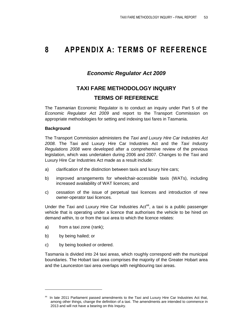# <span id="page-62-0"></span>**8 APPENDIX A: TERMS OF REFERENCE**

## *Economic Regulator Act 2009*

## **TAXI FARE METHODOLOGY INQUIRY TERMS OF REFERENCE**

The Tasmanian Economic Regulator is to conduct an inquiry under Part 5 of the *Economic Regulator Act 2009* and report to the Transport Commission on appropriate methodologies for setting and indexing taxi fares in Tasmania.

#### **Background**

The Transport Commission administers the *Taxi and Luxury Hire Car Industries Act 2008*. The Taxi and Luxury Hire Car Industries Act and the *Taxi Industry Regulations 2008* were developed after a comprehensive review of the previous legislation, which was undertaken during 2006 and 2007. Changes to the Taxi and Luxury Hire Car Industries Act made as a result include:

- a) clarification of the distinction between taxis and luxury hire cars;
- b) improved arrangements for wheelchair-accessible taxis (WATs), including increased availability of WAT licences; and
- c) cessation of the issue of perpetual taxi licences and introduction of new owner-operator taxi licences.

Under the Taxi and Luxury Hire Car Industries  $Act<sup>44</sup>$ , a taxi is a public passenger vehicle that is operating under a licence that authorises the vehicle to be hired on demand within, to or from the taxi area to which the licence relates:

- a) from a taxi zone (rank);
- b) by being hailed; or

c) by being booked or ordered.

Tasmania is divided into 24 taxi areas, which roughly correspond with the municipal boundaries. The Hobart taxi area comprises the majority of the Greater Hobart area and the Launceston taxi area overlaps with neighbouring taxi areas.

<sup>44</sup> In late 2011 Parliament passed amendments to the Taxi and Luxury Hire Car Industries Act that, among other things, change the definition of a taxi. The amendments are intended to commence in 2013 and will not have a bearing on this Inquiry.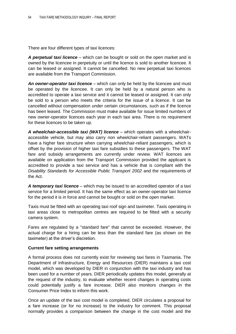There are four different types of taxi licences:

*A perpetual taxi licence* – which can be bought or sold on the open market and is owned by the licencee in perpetuity or until the licence is sold to another licencee. It can be leased or assigned. It cannot be cancelled. No new perpetual taxi licences are available from the Transport Commission.

*An owner-operator taxi licence* – which can only be held by the licencee and must be operated by the licencee. It can only be held by a natural person who is accredited to operate a taxi service and it cannot be leased or assigned. It can only be sold to a person who meets the criteria for the issue of a licence. It can be cancelled without compensation under certain circumstances, such as if the licence has been leased. The Commission must make available for issue limited numbers of new owner-operator licences each year in each taxi area. There is no requirement for these licences to be taken up.

*A wheelchair-accessible taxi (WAT) licence* – which operates with a wheelchairaccessible vehicle, but may also carry non wheelchair-reliant passengers. WATs have a higher fare structure when carrying wheelchair-reliant passengers, which is offset by the provision of higher taxi fare subsidies to these passengers. The WAT fare and subsidy arrangements are currently under review. WAT licences are available on application from the Transport Commission provided the applicant is accredited to provide a taxi service and has a vehicle that is compliant with the *Disability Standards for Accessible Public Transport 2002* and the requirements of the Act.

*A temporary taxi licence* – which may be issued to an accredited operator of a taxi service for a limited period. It has the same effect as an owner-operator taxi licence for the period it is in force and cannot be bought or sold on the open market.

Taxis must be fitted with an operating taxi roof sign and taximeter. Taxis operating in taxi areas close to metropolitan centres are required to be fitted with a security camera system.

Fares are regulated by a "standard fare" that cannot be exceeded. However, the actual charge for a hiring can be less than the standard fare (as shown on the taximeter) at the driver's discretion.

#### **Current fare setting arrangements**

A formal process does not currently exist for reviewing taxi fares in Tasmania. The Department of Infrastructure, Energy and Resources (DIER) maintains a taxi cost model, which was developed by DIER in conjunction with the taxi industry and has been used for a number of years. DIER periodically updates this model, generally at the request of the industry, to evaluate whether recent changes in operating costs could potentially justify a fare increase. DIER also monitors changes in the Consumer Price Index to inform this work.

Once an update of the taxi cost model is completed, DIER circulates a proposal for a fare increase (or for no increase) to the industry for comment. This proposal normally provides a comparison between the change in the cost model and the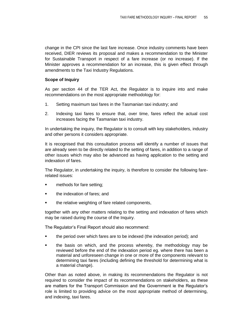change in the CPI since the last fare increase. Once industry comments have been received, DIER reviews its proposal and makes a recommendation to the Minister for Sustainable Transport in respect of a fare increase (or no increase). If the Minister approves a recommendation for an increase, this is given effect through amendments to the Taxi Industry Regulations.

#### **Scope of Inquiry**

As per section 44 of the TER Act, the Regulator is to inquire into and make recommendations on the most appropriate methodology for:

- 1. Setting maximum taxi fares in the Tasmanian taxi industry; and
- 2. Indexing taxi fares to ensure that, over time, fares reflect the actual cost increases facing the Tasmanian taxi industry.

In undertaking the inquiry, the Regulator is to consult with key stakeholders, industry and other persons it considers appropriate.

It is recognised that this consultation process will identify a number of issues that are already seen to be directly related to the setting of fares, in addition to a range of other issues which may also be advanced as having application to the setting and indexation of fares.

The Regulator, in undertaking the inquiry, is therefore to consider the following farerelated issues:

- methods for fare setting;
- the indexation of fares; and
- the relative weighting of fare related components,

together with any other matters relating to the setting and indexation of fares which may be raised during the course of the Inquiry.

The Regulator's Final Report should also recommend:

- the period over which fares are to be indexed (the indexation period); and
- the basis on which, and the process whereby, the methodology may be reviewed before the end of the indexation period eg. where there has been a material and unforeseen change in one or more of the components relevant to determining taxi fares (including defining the threshold for determining what is a material change).

Other than as noted above, in making its recommendations the Regulator is not required to consider the impact of its recommendations on stakeholders, as these are matters for the Transport Commission and the Government ie the Regulator's role is limited to providing advice on the most appropriate method of determining, and indexing, taxi fares.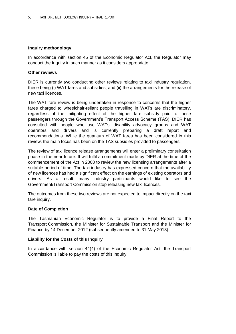#### **Inquiry methodology**

In accordance with section 45 of the Economic Regulator Act, the Regulator may conduct the Inquiry in such manner as it considers appropriate.

#### **Other reviews**

DIER is currently two conducting other reviews relating to taxi industry regulation, these being (i) WAT fares and subsidies; and (ii) the arrangements for the release of new taxi licences.

The WAT fare review is being undertaken in response to concerns that the higher fares charged to wheelchair-reliant people travelling in WATs are discriminatory, regardless of the mitigating effect of the higher fare subsidy paid to these passengers through the Government's Transport Access Scheme (TAS). DIER has consulted with people who use WATs, disability advocacy groups and WAT operators and drivers and is currently preparing a draft report and recommendations. While the quantum of WAT fares has been considered in this review, the main focus has been on the TAS subsidies provided to passengers.

The review of taxi licence release arrangements will enter a preliminary consultation phase in the near future. It will fulfil a commitment made by DIER at the time of the commencement of the Act in 2008 to review the new licensing arrangements after a suitable period of time. The taxi industry has expressed concern that the availability of new licences has had a significant effect on the earnings of existing operators and drivers. As a result, many industry participants would like to see the Government/Transport Commission stop releasing new taxi licences.

The outcomes from these two reviews are not expected to impact directly on the taxi fare inquiry.

#### **Date of Completion**

The Tasmanian Economic Regulator is to provide a Final Report to the Transport Commission, the Minister for Sustainable Transport and the Minister for Finance by 14 December 2012 (subsequently amended to 31 May 2013).

#### **Liability for the Costs of this Inquiry**

In accordance with section 44(4) of the Economic Regulator Act, the Transport Commission is liable to pay the costs of this inquiry.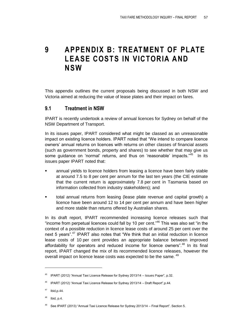<span id="page-66-0"></span>**9 APPENDIX B: TREATMENT OF PLATE LEASE COSTS IN VICTORIA AND NSW**

This appendix outlines the current proposals being discussed in both NSW and Victoria aimed at reducing the value of lease plates and their impact on fares.

## <span id="page-66-1"></span>**9.1 Treatment in NSW**

IPART is recently undertook a review of annual licences for Sydney on behalf of the NSW Department of Transport.

In its issues paper, IPART considered what might be classed as an unreasonable impact on existing licence holders. IPART noted that "We intend to compare licence owners' annual returns on licences with returns on other classes of financial assets (such as government bonds, property and shares) to see whether that may give us some guidance on 'normal' returns, and thus on 'reasonable' impacts."<sup>45</sup> In its issues paper IPART noted that:

- annual yields to licence holders from leasing a licence have been fairly stable at around 7.5 to 8 per cent per annum for the last ten years (the CIE estimate that the current return is approximately 7.8 per cent in Tasmania based on information collected from industry stakeholders); and
- total annual returns from leasing (lease plate revenue and capital growth) a licence have been around 12 to 14 per cent per annum and have been higher and more stable than returns offered by Australian shares.

In its draft report, IPART recommended increasing licence releases such that "income from perpetual licences could fall by 10 per cent."<sup>46</sup> This was also set "in the context of a possible reduction in licence lease costs of around 25 per cent over the next 5 years".<sup>47</sup> IPART also notes that "We think that an initial reduction in licence lease costs of 10 per cent provides an appropriate balance between improved affordability for operators and reduced income for licence owners".<sup>48</sup> In its final report, IPART changed the mix of its recommended licence releases, however the overall impact on licence lease costs was expected to be the same.<sup>49</sup>

<sup>&</sup>lt;sup>45</sup> IPART (2012) "Annual Taxi Licence Release for Sydney 2013/14 - Issues Paper", p.32.

 $46$  IPART (2012) "Annual Taxi Licence Release for Sydney 2013/14 – Draft Report", p.44.

 $47$  Ibid, p. 44.

 $48$  Ibid, p.4.

 $49$  See IPART (2013) "Annual Taxi Licence Release for Sydney 2013/14 – Final Report". Section 5.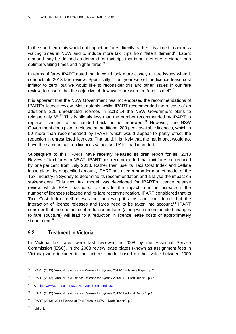In the short term this would not impact on fares directly, rather it is aimed to address waiting times in NSW and to induce more taxi trips from "latent demand". Latent demand may be defined as demand for taxi trips that is not met due to higher than optimal waiting times and higher fares.<sup>50</sup>

In terms of fares IPART noted that it would look more closely at fare issues when it conducts its 2013 fare review. Specifically, "Last year we set the licence lease cost inflator to zero, but we would like to reconsider this and other issues in our fare review, to ensure that the objective of downward pressure on fares is met". <sup>51</sup>

It is apparent that the NSW Government has not endorsed the recommendations of IPART's licence review. Most notably, whilst IPART recommended the release of an additional 225 unrestricted licences in 2013-14 the NSW Government plans to release only  $65.52$  This is slightly less than the number recommended by IPART to replace licences to be handed back or not renewed.<sup>53</sup> However, the NSW Government does plan to release an additional 280 peak available licences, which is 50 more than recommended by IPART which would appear to partly offset the reduction in unrestricted licences. That said, it is likely that the net impact would not have the same impact on licences values as IPART had intended.

Subsequent to this, IPART have recently released its draft report for its "2013 Review of taxi fares in NSW". IPART has recommended that taxi fares be reduced by one per cent from July 2013. Rather than use its Taxi Cost Index and deflate lease plates by a specified amount, IPART has used a broader market model of the Taxi Industry in Sydney to determine its recommendation and analyse the impact on stakeholders. This new taxi model was developed for IPART's licence release review, which IPART has used to consider the impact from the increase in the number of licences released and its fare recommendation. IPART considered that its Taxi Cost Index method was not achieving it aims and considered that the interaction of licence releases and fares need to be taken into account. <sup>54</sup> IPART consider that the one per cent reduction in fares (along with recommended changes to fare structure) will lead to a reduction in licence lease costs of approximately six per cent.<sup>55</sup>

## <span id="page-67-0"></span>**9.2 Treatment in Victoria**

In Victoria taxi fares were last reviewed in 2008 by the Essential Service Commission (ESC). In the 2008 review lease plates (known as assignment fees in Victoria) were included in the taxi cost model based on their value between 2000

 $\overline{a}$ 

 $50$  IPART (2012) "Annual Taxi Licence Release for Sydney 2013/14 - Issues Paper", p.2.

IPART (2012) "Annual Taxi Licence Release for Sydney 2013/14 - Draft Report", p.46.

<sup>52</sup> Se[e http://www.transport.nsw.gov.au/taxi-licence-release](http://www.transport.nsw.gov.au/taxi-licence-release)

<sup>53</sup> IPART (2012) "Annual Taxi Licence Release for Sydney 2013/14 - Final Report", p.1.

<sup>&</sup>lt;sup>54</sup> IPART (2013) "2013 Review of Taxi Fares in NSW - Draft Report", p.2.

 $55$  Ibid p.3.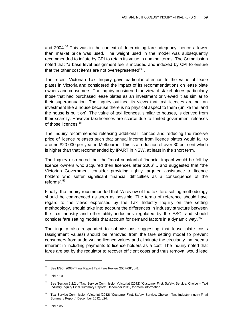and 2004. <sup>56</sup> This was in the context of determining fare adequacy, hence a lower than market price was used. The weight used in the model was subsequently recommended to inflate by CPI to retain its value in nominal terms. The Commission noted that "a base level assignment fee is included and indexed by CPI to ensure that the other cost items are not overrepresented"<sup>57</sup>.

The recent Victorian Taxi Inquiry gave particular attention to the value of lease plates in Victoria and considered the impact of its recommendations on lease plate owners and consumers. The inquiry considered the view of stakeholders particularly those that had purchased lease plates as an investment or viewed it as similar to their superannuation. The inquiry outlined its views that taxi licences are not an investment like a house because there is no physical aspect to them (unlike the land the house is built on). The value of taxi licences, similar to houses, is derived from their scarcity. However taxi licences are scarce due to limited government releases of those licences <sup>58</sup>

The Inquiry recommended releasing additional licences and reducing the reserve price of licence releases such that annual income from licence plates would fall to around \$20 000 per year in Melbourne. This is a reduction of over 30 per cent which is higher than that recommended by IPART in NSW, at least in the short term.

The Inquiry also noted that the "most substantial financial impact would be felt by licence owners who acquired their licences after 2006"... and suggested that "the Victorian Government consider providing tightly targeted assistance to licence holders who suffer significant financial difficulties as a consequence of the reforms".<sup>59</sup>

Finally, the Inquiry recommended that "A review of the taxi fare setting methodology should be commenced as soon as possible. The terms of reference should have regard to the views expressed by the Taxi Industry Inquiry on fare setting methodology, should take into account the differences in industry structure between the taxi industry and other utility industries regulated by the ESC, and should consider fare setting models that account for demand factors in a dynamic way.<sup> $60$ </sup>

The inquiry also responded to submissions suggesting that lease plate costs (assignment values) should be removed from the fare setting model to prevent consumers from underwriting licence values and eliminate the circularity that seems inherent in including payments to licence holders as a cost. The inquiry noted that fares are set by the regulator to recover efficient costs and thus removal would lead

 $56$  See ESC (2008) "Final Report Taxi Fare Review 2007-08", p.8.

 $57$  Ibid p.10.

See Section 3.2.2 of Taxi Service Commission (Victoria) (2012) "Customer First: Safety, Service, Choice – Taxi Industry Inquiry Final Summary Report", December 2012, for more information.

Taxi Service Commission (Victoria) (2012) "Customer First: Safety, Service, Choice – Taxi Industry Inquiry Final Summary Report", December 2012, p24.